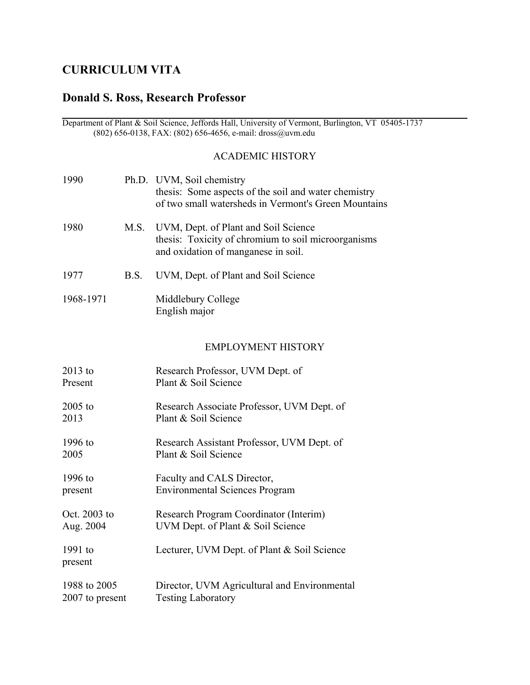# **CURRICULUM VITA**

# **Donald S. Ross, Research Professor**

 Department of Plant & Soil Science, Jeffords Hall, University of Vermont, Burlington, VT 05405-1737 (802) 656-0138, FAX: (802) 656-4656, e-mail: dross@uvm.edu

# ACADEMIC HISTORY

| 1990      |      | Ph.D. UVM, Soil chemistry<br>thesis: Some aspects of the soil and water chemistry<br>of two small watersheds in Vermont's Green Mountains |
|-----------|------|-------------------------------------------------------------------------------------------------------------------------------------------|
| 1980      |      | M.S. UVM, Dept. of Plant and Soil Science<br>thesis: Toxicity of chromium to soil microorganisms<br>and oxidation of manganese in soil.   |
| 1977      | B.S. | UVM, Dept. of Plant and Soil Science                                                                                                      |
| 1968-1971 |      | Middlebury College<br>English major                                                                                                       |

# EMPLOYMENT HISTORY

| $2013$ to            | Research Professor, UVM Dept. of             |
|----------------------|----------------------------------------------|
| Present              | Plant & Soil Science                         |
| $2005$ to            | Research Associate Professor, UVM Dept. of   |
| 2013                 | Plant & Soil Science                         |
| 1996 to              | Research Assistant Professor, UVM Dept. of   |
| 2005                 | Plant & Soil Science                         |
| 1996 to              | Faculty and CALS Director,                   |
| present              | <b>Environmental Sciences Program</b>        |
| Oct. $2003$ to       | Research Program Coordinator (Interim)       |
| Aug. 2004            | UVM Dept. of Plant & Soil Science            |
| $1991$ to<br>present | Lecturer, UVM Dept. of Plant & Soil Science  |
| 1988 to 2005         | Director, UVM Agricultural and Environmental |
| 2007 to present      | <b>Testing Laboratory</b>                    |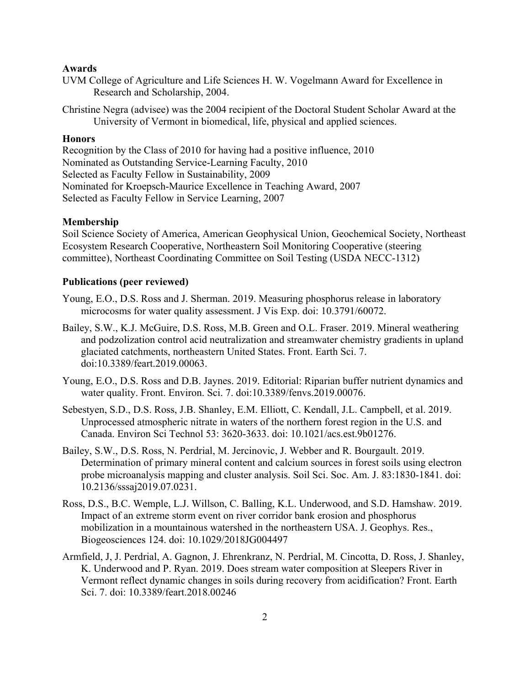#### **Awards**

- UVM College of Agriculture and Life Sciences H. W. Vogelmann Award for Excellence in Research and Scholarship, 2004.
- Christine Negra (advisee) was the 2004 recipient of the Doctoral Student Scholar Award at the University of Vermont in biomedical, life, physical and applied sciences.

## **Honors**

Recognition by the Class of 2010 for having had a positive influence, 2010 Nominated as Outstanding Service-Learning Faculty, 2010 Selected as Faculty Fellow in Sustainability, 2009 Nominated for Kroepsch-Maurice Excellence in Teaching Award, 2007 Selected as Faculty Fellow in Service Learning, 2007

#### **Membership**

Soil Science Society of America, American Geophysical Union, Geochemical Society, Northeast Ecosystem Research Cooperative, Northeastern Soil Monitoring Cooperative (steering committee), Northeast Coordinating Committee on Soil Testing (USDA NECC-1312)

### **Publications (peer reviewed)**

- Young, E.O., D.S. Ross and J. Sherman. 2019. Measuring phosphorus release in laboratory microcosms for water quality assessment. J Vis Exp. doi: 10.3791/60072.
- Bailey, S.W., K.J. McGuire, D.S. Ross, M.B. Green and O.L. Fraser. 2019. Mineral weathering and podzolization control acid neutralization and streamwater chemistry gradients in upland glaciated catchments, northeastern United States. Front. Earth Sci. 7. doi:10.3389/feart.2019.00063.
- Young, E.O., D.S. Ross and D.B. Jaynes. 2019. Editorial: Riparian buffer nutrient dynamics and water quality. Front. Environ. Sci. 7. doi:10.3389/fenvs.2019.00076.
- Sebestyen, S.D., D.S. Ross, J.B. Shanley, E.M. Elliott, C. Kendall, J.L. Campbell, et al. 2019. Unprocessed atmospheric nitrate in waters of the northern forest region in the U.S. and Canada. Environ Sci Technol 53: 3620-3633. doi: 10.1021/acs.est.9b01276.
- Bailey, S.W., D.S. Ross, N. Perdrial, M. Jercinovic, J. Webber and R. Bourgault. 2019. Determination of primary mineral content and calcium sources in forest soils using electron probe microanalysis mapping and cluster analysis. Soil Sci. Soc. Am. J. 83:1830-1841. doi: 10.2136/sssaj2019.07.0231.
- Ross, D.S., B.C. Wemple, L.J. Willson, C. Balling, K.L. Underwood, and S.D. Hamshaw. 2019. Impact of an extreme storm event on river corridor bank erosion and phosphorus mobilization in a mountainous watershed in the northeastern USA. J. Geophys. Res., Biogeosciences 124. doi: 10.1029/2018JG004497
- Armfield, J, J. Perdrial, A. Gagnon, J. Ehrenkranz, N. Perdrial, M. Cincotta, D. Ross, J. Shanley, K. Underwood and P. Ryan. 2019. Does stream water composition at Sleepers River in Vermont reflect dynamic changes in soils during recovery from acidification? Front. Earth Sci. 7. doi: 10.3389/feart.2018.00246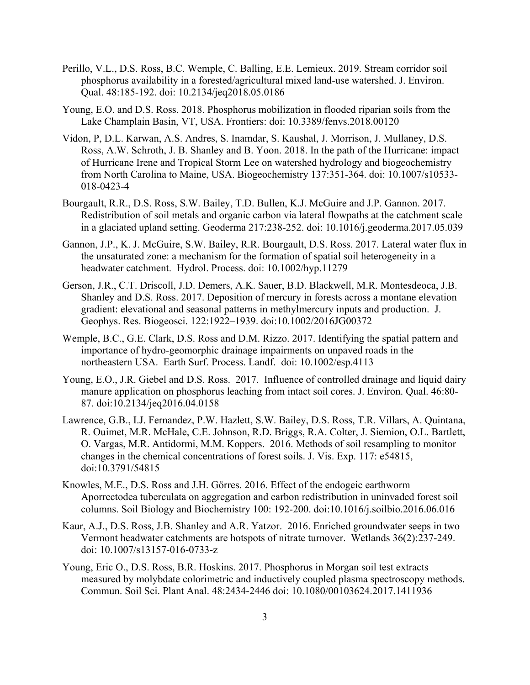- Perillo, V.L., D.S. Ross, B.C. Wemple, C. Balling, E.E. Lemieux. 2019. Stream corridor soil phosphorus availability in a forested/agricultural mixed land-use watershed. J. Environ. Qual. 48:185-192. doi: 10.2134/jeq2018.05.0186
- Young, E.O. and D.S. Ross. 2018. Phosphorus mobilization in flooded riparian soils from the Lake Champlain Basin, VT, USA. Frontiers: doi: 10.3389/fenvs.2018.00120
- Vidon, P, D.L. Karwan, A.S. Andres, S. Inamdar, S. Kaushal, J. Morrison, J. Mullaney, D.S. Ross, A.W. Schroth, J. B. Shanley and B. Yoon. 2018. In the path of the Hurricane: impact of Hurricane Irene and Tropical Storm Lee on watershed hydrology and biogeochemistry from North Carolina to Maine, USA. Biogeochemistry 137:351-364. doi: 10.1007/s10533- 018-0423-4
- Bourgault, R.R., D.S. Ross, S.W. Bailey, T.D. Bullen, K.J. McGuire and J.P. Gannon. 2017. Redistribution of soil metals and organic carbon via lateral flowpaths at the catchment scale in a glaciated upland setting. Geoderma 217:238-252. doi: 10.1016/j.geoderma.2017.05.039
- Gannon, J.P., K. J. McGuire, S.W. Bailey, R.R. Bourgault, D.S. Ross. 2017. Lateral water flux in the unsaturated zone: a mechanism for the formation of spatial soil heterogeneity in a headwater catchment. Hydrol. Process. doi: 10.1002/hyp.11279
- Gerson, J.R., C.T. Driscoll, J.D. Demers, A.K. Sauer, B.D. Blackwell, M.R. Montesdeoca, J.B. Shanley and D.S. Ross. 2017. Deposition of mercury in forests across a montane elevation gradient: elevational and seasonal patterns in methylmercury inputs and production. J. Geophys. Res. Biogeosci. 122:1922–1939. doi:10.1002/2016JG00372
- Wemple, B.C., G.E. Clark, D.S. Ross and D.M. Rizzo. 2017. Identifying the spatial pattern and importance of hydro-geomorphic drainage impairments on unpaved roads in the northeastern USA. Earth Surf. Process. Landf. doi: 10.1002/esp.4113
- Young, E.O., J.R. Giebel and D.S. Ross. 2017. Influence of controlled drainage and liquid dairy manure application on phosphorus leaching from intact soil cores. J. Environ. Qual. 46:80- 87. doi:10.2134/jeq2016.04.0158
- Lawrence, G.B., I.J. Fernandez, P.W. Hazlett, S.W. Bailey, D.S. Ross, T.R. Villars, A. Quintana, R. Ouimet, M.R. McHale, C.E. Johnson, R.D. Briggs, R.A. Colter, J. Siemion, O.L. Bartlett, O. Vargas, M.R. Antidormi, M.M. Koppers. 2016. Methods of soil resampling to monitor changes in the chemical concentrations of forest soils. J. Vis. Exp. 117: e54815, doi:10.3791/54815
- Knowles, M.E., D.S. Ross and J.H. Görres. 2016. Effect of the endogeic earthworm Aporrectodea tuberculata on aggregation and carbon redistribution in uninvaded forest soil columns. Soil Biology and Biochemistry 100: 192-200. doi:10.1016/j.soilbio.2016.06.016
- Kaur, A.J., D.S. Ross, J.B. Shanley and A.R. Yatzor. 2016. Enriched groundwater seeps in two Vermont headwater catchments are hotspots of nitrate turnover. Wetlands 36(2):237-249. doi: 10.1007/s13157-016-0733-z
- Young, Eric O., D.S. Ross, B.R. Hoskins. 2017. Phosphorus in Morgan soil test extracts measured by molybdate colorimetric and inductively coupled plasma spectroscopy methods. Commun. Soil Sci. Plant Anal. 48:2434-2446 doi: 10.1080/00103624.2017.1411936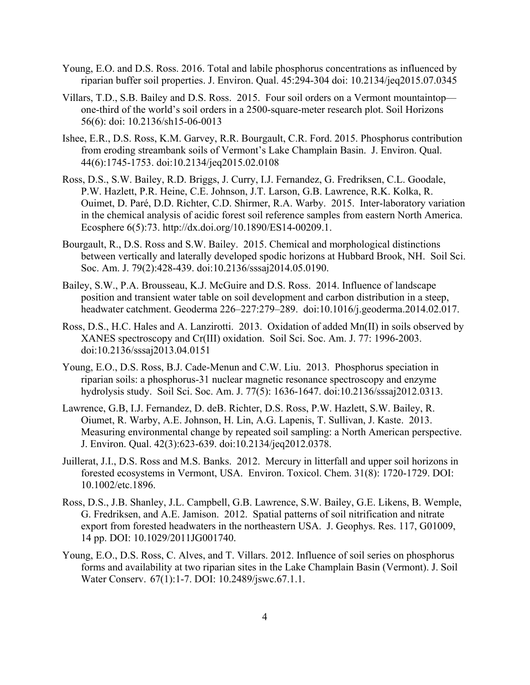- Young, E.O. and D.S. Ross. 2016. Total and labile phosphorus concentrations as influenced by riparian buffer soil properties. J. Environ. Qual. 45:294-304 doi: 10.2134/jeq2015.07.0345
- Villars, T.D., S.B. Bailey and D.S. Ross. 2015. Four soil orders on a Vermont mountaintop one-third of the world's soil orders in a 2500-square-meter research plot. Soil Horizons 56(6): doi: 10.2136/sh15-06-0013
- Ishee, E.R., D.S. Ross, K.M. Garvey, R.R. Bourgault, C.R. Ford. 2015. Phosphorus contribution from eroding streambank soils of Vermont's Lake Champlain Basin. J. Environ. Qual. 44(6):1745-1753. doi:10.2134/jeq2015.02.0108
- Ross, D.S., S.W. Bailey, R.D. Briggs, J. Curry, I.J. Fernandez, G. Fredriksen, C.L. Goodale, P.W. Hazlett, P.R. Heine, C.E. Johnson, J.T. Larson, G.B. Lawrence, R.K. Kolka, R. Ouimet, D. Paré, D.D. Richter, C.D. Shirmer, R.A. Warby. 2015. Inter-laboratory variation in the chemical analysis of acidic forest soil reference samples from eastern North America. Ecosphere 6(5):73. http://dx.doi.org/10.1890/ES14-00209.1.
- Bourgault, R., D.S. Ross and S.W. Bailey. 2015. Chemical and morphological distinctions between vertically and laterally developed spodic horizons at Hubbard Brook, NH. Soil Sci. Soc. Am. J. 79(2):428-439. doi:10.2136/sssaj2014.05.0190.
- Bailey, S.W., P.A. Brousseau, K.J. McGuire and D.S. Ross. 2014. Influence of landscape position and transient water table on soil development and carbon distribution in a steep, headwater catchment. Geoderma 226–227:279–289. doi:10.1016/j.geoderma.2014.02.017.
- Ross, D.S., H.C. Hales and A. Lanzirotti. 2013. Oxidation of added Mn(II) in soils observed by XANES spectroscopy and Cr(III) oxidation. Soil Sci. Soc. Am. J. 77: 1996-2003. doi:10.2136/sssaj2013.04.0151
- Young, E.O., D.S. Ross, B.J. Cade-Menun and C.W. Liu. 2013. Phosphorus speciation in riparian soils: a phosphorus-31 nuclear magnetic resonance spectroscopy and enzyme hydrolysis study. Soil Sci. Soc. Am. J. 77(5): 1636-1647. doi:10.2136/sssaj2012.0313.
- Lawrence, G.B, I.J. Fernandez, D. deB. Richter, D.S. Ross, P.W. Hazlett, S.W. Bailey, R. Oiumet, R. Warby, A.E. Johnson, H. Lin, A.G. Lapenis, T. Sullivan, J. Kaste. 2013. Measuring environmental change by repeated soil sampling: a North American perspective. J. Environ. Qual. 42(3):623-639. doi:10.2134/jeq2012.0378.
- Juillerat, J.I., D.S. Ross and M.S. Banks. 2012. Mercury in litterfall and upper soil horizons in forested ecosystems in Vermont, USA. Environ. Toxicol. Chem. 31(8): 1720-1729. DOI: 10.1002/etc.1896.
- Ross, D.S., J.B. Shanley, J.L. Campbell, G.B. Lawrence, S.W. Bailey, G.E. Likens, B. Wemple, G. Fredriksen, and A.E. Jamison. 2012. Spatial patterns of soil nitrification and nitrate export from forested headwaters in the northeastern USA. J. Geophys. Res. 117, G01009, 14 pp. DOI: 10.1029/2011JG001740.
- Young, E.O., D.S. Ross, C. Alves, and T. Villars. 2012. Influence of soil series on phosphorus forms and availability at two riparian sites in the Lake Champlain Basin (Vermont). J. Soil Water Conserv. 67(1):1-7. DOI: 10.2489/jswc.67.1.1.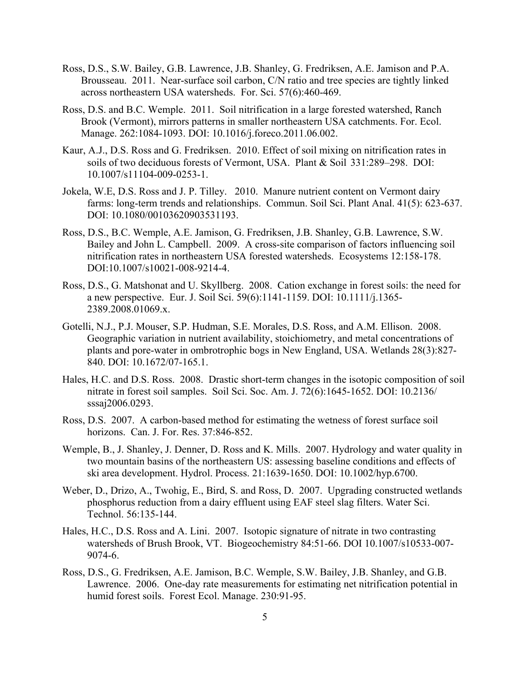- Ross, D.S., S.W. Bailey, G.B. Lawrence, J.B. Shanley, G. Fredriksen, A.E. Jamison and P.A. Brousseau. 2011. Near-surface soil carbon, C/N ratio and tree species are tightly linked across northeastern USA watersheds. For. Sci. 57(6):460-469.
- Ross, D.S. and B.C. Wemple. 2011. Soil nitrification in a large forested watershed, Ranch Brook (Vermont), mirrors patterns in smaller northeastern USA catchments. For. Ecol. Manage. 262:1084-1093. DOI: 10.1016/j.foreco.2011.06.002.
- Kaur, A.J., D.S. Ross and G. Fredriksen. 2010. Effect of soil mixing on nitrification rates in soils of two deciduous forests of Vermont, USA. Plant & Soil 331:289–298. DOI: 10.1007/s11104-009-0253-1.
- Jokela, W.E, D.S. Ross and J. P. Tilley. 2010. Manure nutrient content on Vermont dairy farms: long-term trends and relationships. Commun. Soil Sci. Plant Anal. 41(5): 623-637. DOI: 10.1080/00103620903531193.
- Ross, D.S., B.C. Wemple, A.E. Jamison, G. Fredriksen, J.B. Shanley, G.B. Lawrence, S.W. Bailey and John L. Campbell. 2009. A cross-site comparison of factors influencing soil nitrification rates in northeastern USA forested watersheds. Ecosystems 12:158-178. DOI:10.1007/s10021-008-9214-4.
- Ross, D.S., G. Matshonat and U. Skyllberg. 2008. Cation exchange in forest soils: the need for a new perspective. Eur. J. Soil Sci. 59(6):1141-1159. DOI: 10.1111/j.1365- 2389.2008.01069.x.
- Gotelli, N.J., P.J. Mouser, S.P. Hudman, S.E. Morales, D.S. Ross, and A.M. Ellison. 2008. Geographic variation in nutrient availability, stoichiometry, and metal concentrations of plants and pore-water in ombrotrophic bogs in New England, USA. Wetlands 28(3):827- 840. DOI: 10.1672/07-165.1.
- Hales, H.C. and D.S. Ross. 2008. Drastic short-term changes in the isotopic composition of soil nitrate in forest soil samples. Soil Sci. Soc. Am. J. 72(6):1645-1652. DOI: 10.2136/ sssaj2006.0293.
- Ross, D.S. 2007. A carbon-based method for estimating the wetness of forest surface soil horizons. Can. J. For. Res. 37:846-852.
- Wemple, B., J. Shanley, J. Denner, D. Ross and K. Mills. 2007. Hydrology and water quality in two mountain basins of the northeastern US: assessing baseline conditions and effects of ski area development. Hydrol. Process. 21:1639-1650. DOI: 10.1002/hyp.6700.
- Weber, D., Drizo, A., Twohig, E., Bird, S. and Ross, D. 2007. Upgrading constructed wetlands phosphorus reduction from a dairy effluent using EAF steel slag filters. Water Sci. Technol. 56:135-144.
- Hales, H.C., D.S. Ross and A. Lini. 2007. Isotopic signature of nitrate in two contrasting watersheds of Brush Brook, VT. Biogeochemistry 84:51-66. DOI 10.1007/s10533-007- 9074-6.
- Ross, D.S., G. Fredriksen, A.E. Jamison, B.C. Wemple, S.W. Bailey, J.B. Shanley, and G.B. Lawrence. 2006. One-day rate measurements for estimating net nitrification potential in humid forest soils. Forest Ecol. Manage. 230:91-95.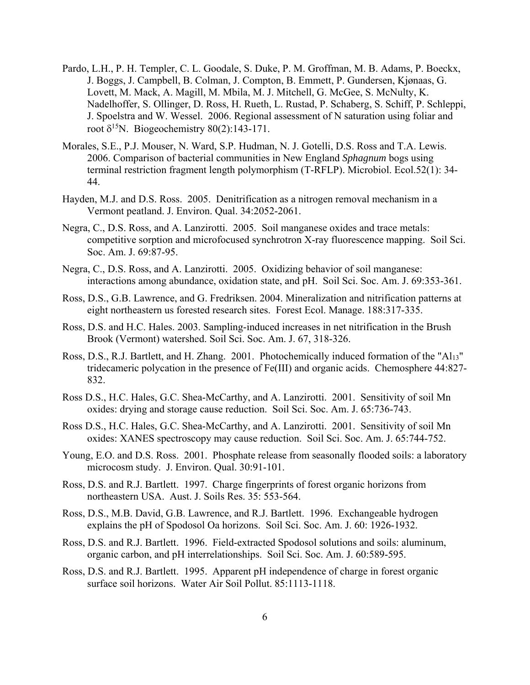- Pardo, L.H., P. H. Templer, C. L. Goodale, S. Duke, P. M. Groffman, M. B. Adams, P. Boeckx, J. Boggs, J. Campbell, B. Colman, J. Compton, B. Emmett, P. Gundersen, Kjønaas, G. Lovett, M. Mack, A. Magill, M. Mbila, M. J. Mitchell, G. McGee, S. McNulty, K. Nadelhoffer, S. Ollinger, D. Ross, H. Rueth, L. Rustad, P. Schaberg, S. Schiff, P. Schleppi, J. Spoelstra and W. Wessel. 2006. Regional assessment of N saturation using foliar and root  $\delta^{15}N$ . Biogeochemistry 80(2):143-171.
- Morales, S.E., P.J. Mouser, N. Ward, S.P. Hudman, N. J. Gotelli, D.S. Ross and T.A. Lewis. 2006. Comparison of bacterial communities in New England *Sphagnum* bogs using terminal restriction fragment length polymorphism (T-RFLP). Microbiol. Ecol.52(1): 34- 44.
- Hayden, M.J. and D.S. Ross. 2005. Denitrification as a nitrogen removal mechanism in a Vermont peatland. J. Environ. Qual. 34:2052-2061.
- Negra, C., D.S. Ross, and A. Lanzirotti. 2005. Soil manganese oxides and trace metals: competitive sorption and microfocused synchrotron X-ray fluorescence mapping. Soil Sci. Soc. Am. J. 69:87-95.
- Negra, C., D.S. Ross, and A. Lanzirotti. 2005. Oxidizing behavior of soil manganese: interactions among abundance, oxidation state, and pH. Soil Sci. Soc. Am. J. 69:353-361.
- Ross, D.S., G.B. Lawrence, and G. Fredriksen. 2004. Mineralization and nitrification patterns at eight northeastern us forested research sites. Forest Ecol. Manage. 188:317-335.
- Ross, D.S. and H.C. Hales. 2003. Sampling-induced increases in net nitrification in the Brush Brook (Vermont) watershed. Soil Sci. Soc. Am. J. 67, 318-326.
- Ross, D.S., R.J. Bartlett, and H. Zhang. 2001. Photochemically induced formation of the "Al13" tridecameric polycation in the presence of Fe(III) and organic acids. Chemosphere 44:827- 832.
- Ross D.S., H.C. Hales, G.C. Shea-McCarthy, and A. Lanzirotti. 2001. Sensitivity of soil Mn oxides: drying and storage cause reduction. Soil Sci. Soc. Am. J. 65:736-743.
- Ross D.S., H.C. Hales, G.C. Shea-McCarthy, and A. Lanzirotti. 2001. Sensitivity of soil Mn oxides: XANES spectroscopy may cause reduction. Soil Sci. Soc. Am. J. 65:744-752.
- Young, E.O. and D.S. Ross. 2001. Phosphate release from seasonally flooded soils: a laboratory microcosm study. J. Environ. Qual. 30:91-101.
- Ross, D.S. and R.J. Bartlett. 1997. Charge fingerprints of forest organic horizons from northeastern USA. Aust. J. Soils Res. 35: 553-564.
- Ross, D.S., M.B. David, G.B. Lawrence, and R.J. Bartlett. 1996. Exchangeable hydrogen explains the pH of Spodosol Oa horizons. Soil Sci. Soc. Am. J. 60: 1926-1932.
- Ross, D.S. and R.J. Bartlett. 1996. Field-extracted Spodosol solutions and soils: aluminum, organic carbon, and pH interrelationships. Soil Sci. Soc. Am. J. 60:589-595.
- Ross, D.S. and R.J. Bartlett. 1995. Apparent pH independence of charge in forest organic surface soil horizons. Water Air Soil Pollut. 85:1113-1118.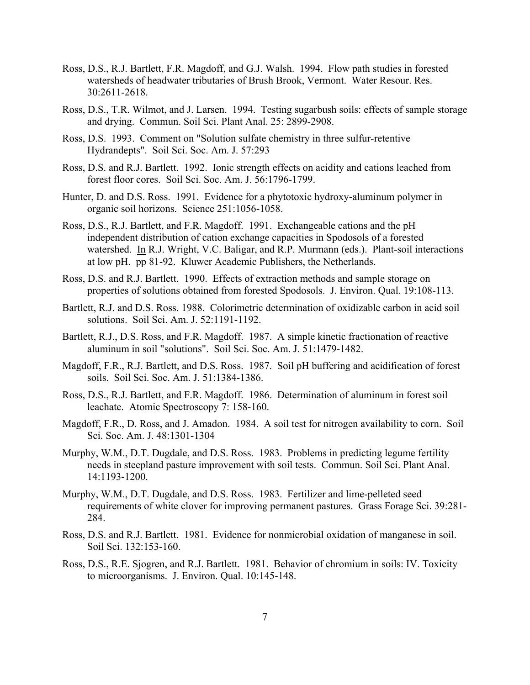- Ross, D.S., R.J. Bartlett, F.R. Magdoff, and G.J. Walsh. 1994. Flow path studies in forested watersheds of headwater tributaries of Brush Brook, Vermont. Water Resour. Res. 30:2611-2618.
- Ross, D.S., T.R. Wilmot, and J. Larsen. 1994. Testing sugarbush soils: effects of sample storage and drying. Commun. Soil Sci. Plant Anal. 25: 2899-2908.
- Ross, D.S. 1993. Comment on "Solution sulfate chemistry in three sulfur-retentive Hydrandepts". Soil Sci. Soc. Am. J. 57:293
- Ross, D.S. and R.J. Bartlett. 1992. Ionic strength effects on acidity and cations leached from forest floor cores. Soil Sci. Soc. Am. J. 56:1796-1799.
- Hunter, D. and D.S. Ross. 1991. Evidence for a phytotoxic hydroxy-aluminum polymer in organic soil horizons. Science 251:1056-1058.
- Ross, D.S., R.J. Bartlett, and F.R. Magdoff. 1991. Exchangeable cations and the pH independent distribution of cation exchange capacities in Spodosols of a forested watershed. In R.J. Wright, V.C. Baligar, and R.P. Murmann (eds.). Plant-soil interactions at low pH. pp 81-92. Kluwer Academic Publishers, the Netherlands.
- Ross, D.S. and R.J. Bartlett. 1990. Effects of extraction methods and sample storage on properties of solutions obtained from forested Spodosols. J. Environ. Qual. 19:108-113.
- Bartlett, R.J. and D.S. Ross. 1988. Colorimetric determination of oxidizable carbon in acid soil solutions. Soil Sci. Am. J. 52:1191-1192.
- Bartlett, R.J., D.S. Ross, and F.R. Magdoff. 1987. A simple kinetic fractionation of reactive aluminum in soil "solutions". Soil Sci. Soc. Am. J. 51:1479-1482.
- Magdoff, F.R., R.J. Bartlett, and D.S. Ross. 1987. Soil pH buffering and acidification of forest soils. Soil Sci. Soc. Am. J. 51:1384-1386.
- Ross, D.S., R.J. Bartlett, and F.R. Magdoff. 1986. Determination of aluminum in forest soil leachate. Atomic Spectroscopy 7: 158-160.
- Magdoff, F.R., D. Ross, and J. Amadon. 1984. A soil test for nitrogen availability to corn. Soil Sci. Soc. Am. J. 48:1301-1304
- Murphy, W.M., D.T. Dugdale, and D.S. Ross. 1983. Problems in predicting legume fertility needs in steepland pasture improvement with soil tests. Commun. Soil Sci. Plant Anal. 14:1193-1200.
- Murphy, W.M., D.T. Dugdale, and D.S. Ross. 1983. Fertilizer and lime-pelleted seed requirements of white clover for improving permanent pastures. Grass Forage Sci. 39:281- 284.
- Ross, D.S. and R.J. Bartlett. 1981. Evidence for nonmicrobial oxidation of manganese in soil. Soil Sci. 132:153-160.
- Ross, D.S., R.E. Sjogren, and R.J. Bartlett. 1981. Behavior of chromium in soils: IV. Toxicity to microorganisms. J. Environ. Qual. 10:145-148.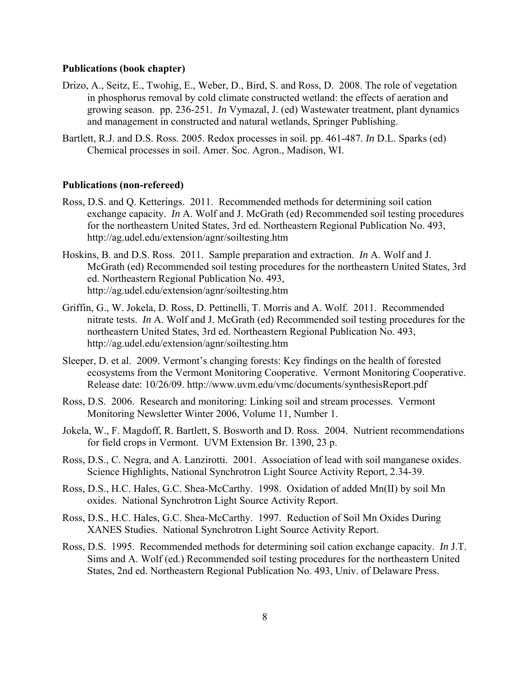#### **Publications (book chapter)**

- Drizo, A., Seitz, E., Twohig, E., Weber, D., Bird, S. and Ross, D. 2008. The role of vegetation in phosphorus removal by cold climate constructed wetland: the effects of aeration and growing season. pp. 236-251*. In* Vymazal, J. (ed) Wastewater treatment, plant dynamics and management in constructed and natural wetlands, Springer Publishing.
- Bartlett, R.J. and D.S. Ross. 2005. Redox processes in soil. pp. 461-487. *In* D.L. Sparks (ed) Chemical processes in soil. Amer. Soc. Agron., Madison, WI.

#### **Publications (non-refereed)**

- Ross, D.S. and Q. Ketterings. 2011. Recommended methods for determining soil cation exchange capacity. *In* A. Wolf and J. McGrath (ed) Recommended soil testing procedures for the northeastern United States, 3rd ed. Northeastern Regional Publication No. 493, http://ag.udel.edu/extension/agnr/soiltesting.htm
- Hoskins, B. and D.S. Ross. 2011. Sample preparation and extraction. *In* A. Wolf and J. McGrath (ed) Recommended soil testing procedures for the northeastern United States, 3rd ed. Northeastern Regional Publication No. 493, http://ag.udel.edu/extension/agnr/soiltesting.htm
- Griffin, G., W. Jokela, D. Ross, D. Pettinelli, T. Morris and A. Wolf. 2011. Recommended nitrate tests. *In* A. Wolf and J. McGrath (ed) Recommended soil testing procedures for the northeastern United States, 3rd ed. Northeastern Regional Publication No. 493, http://ag.udel.edu/extension/agnr/soiltesting.htm
- Sleeper, D. et al. 2009. Vermont's changing forests: Key findings on the health of forested ecosystems from the Vermont Monitoring Cooperative. Vermont Monitoring Cooperative. Release date: 10/26/09. http://www.uvm.edu/vmc/documents/synthesisReport.pdf
- Ross, D.S. 2006. Research and monitoring: Linking soil and stream processes. Vermont Monitoring Newsletter Winter 2006, Volume 11, Number 1.
- Jokela, W., F. Magdoff, R. Bartlett, S. Bosworth and D. Ross. 2004. Nutrient recommendations for field crops in Vermont. UVM Extension Br. 1390, 23 p.
- Ross, D.S., C. Negra, and A. Lanzirotti. 2001. Association of lead with soil manganese oxides. Science Highlights, National Synchrotron Light Source Activity Report, 2.34-39.
- Ross, D.S., H.C. Hales, G.C. Shea-McCarthy. 1998. Oxidation of added Mn(II) by soil Mn oxides. National Synchrotron Light Source Activity Report.
- Ross, D.S., H.C. Hales, G.C. Shea-McCarthy. 1997. Reduction of Soil Mn Oxides During XANES Studies. National Synchrotron Light Source Activity Report.
- Ross, D.S. 1995. Recommended methods for determining soil cation exchange capacity. *In* J.T. Sims and A. Wolf (ed.) Recommended soil testing procedures for the northeastern United States, 2nd ed. Northeastern Regional Publication No. 493, Univ. of Delaware Press.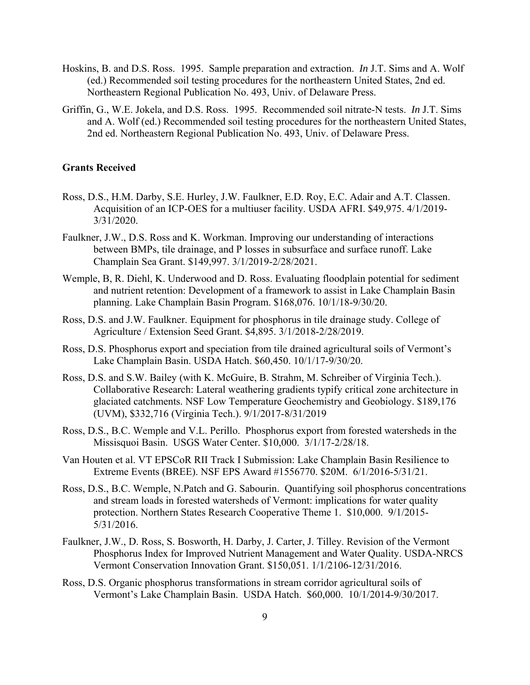- Hoskins, B. and D.S. Ross. 1995. Sample preparation and extraction. *In* J.T. Sims and A. Wolf (ed.) Recommended soil testing procedures for the northeastern United States, 2nd ed. Northeastern Regional Publication No. 493, Univ. of Delaware Press.
- Griffin, G., W.E. Jokela, and D.S. Ross. 1995. Recommended soil nitrate-N tests. *In* J.T. Sims and A. Wolf (ed.) Recommended soil testing procedures for the northeastern United States, 2nd ed. Northeastern Regional Publication No. 493, Univ. of Delaware Press.

## **Grants Received**

- Ross, D.S., H.M. Darby, S.E. Hurley, J.W. Faulkner, E.D. Roy, E.C. Adair and A.T. Classen. Acquisition of an ICP-OES for a multiuser facility. USDA AFRI. \$49,975. 4/1/2019- 3/31/2020.
- Faulkner, J.W., D.S. Ross and K. Workman. Improving our understanding of interactions between BMPs, tile drainage, and P losses in subsurface and surface runoff. Lake Champlain Sea Grant. \$149,997. 3/1/2019-2/28/2021.
- Wemple, B, R. Diehl, K. Underwood and D. Ross. Evaluating floodplain potential for sediment and nutrient retention: Development of a framework to assist in Lake Champlain Basin planning. Lake Champlain Basin Program. \$168,076. 10/1/18-9/30/20.
- Ross, D.S. and J.W. Faulkner. Equipment for phosphorus in tile drainage study. College of Agriculture / Extension Seed Grant. \$4,895. 3/1/2018-2/28/2019.
- Ross, D.S. Phosphorus export and speciation from tile drained agricultural soils of Vermont's Lake Champlain Basin. USDA Hatch. \$60,450. 10/1/17-9/30/20.
- Ross, D.S. and S.W. Bailey (with K. McGuire, B. Strahm, M. Schreiber of Virginia Tech.). Collaborative Research: Lateral weathering gradients typify critical zone architecture in glaciated catchments. NSF Low Temperature Geochemistry and Geobiology. \$189,176 (UVM), \$332,716 (Virginia Tech.). 9/1/2017-8/31/2019
- Ross, D.S., B.C. Wemple and V.L. Perillo. Phosphorus export from forested watersheds in the Missisquoi Basin. USGS Water Center. \$10,000. 3/1/17-2/28/18.
- Van Houten et al. VT EPSCoR RII Track I Submission: Lake Champlain Basin Resilience to Extreme Events (BREE). NSF EPS Award #1556770. \$20M. 6/1/2016-5/31/21.
- Ross, D.S., B.C. Wemple, N.Patch and G. Sabourin. Quantifying soil phosphorus concentrations and stream loads in forested watersheds of Vermont: implications for water quality protection. Northern States Research Cooperative Theme 1. \$10,000. 9/1/2015- 5/31/2016.
- Faulkner, J.W., D. Ross, S. Bosworth, H. Darby, J. Carter, J. Tilley. Revision of the Vermont Phosphorus Index for Improved Nutrient Management and Water Quality. USDA-NRCS Vermont Conservation Innovation Grant. \$150,051. 1/1/2106-12/31/2016.
- Ross, D.S. Organic phosphorus transformations in stream corridor agricultural soils of Vermont's Lake Champlain Basin. USDA Hatch. \$60,000. 10/1/2014-9/30/2017.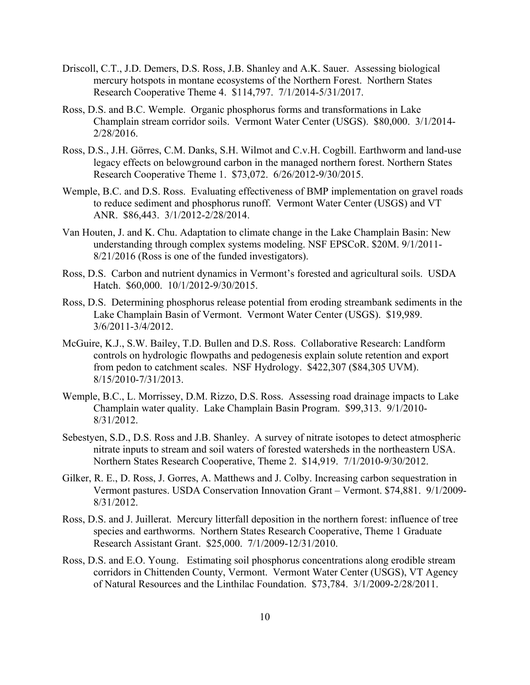- Driscoll, C.T., J.D. Demers, D.S. Ross, J.B. Shanley and A.K. Sauer. Assessing biological mercury hotspots in montane ecosystems of the Northern Forest. Northern States Research Cooperative Theme 4. \$114,797. 7/1/2014-5/31/2017.
- Ross, D.S. and B.C. Wemple. Organic phosphorus forms and transformations in Lake Champlain stream corridor soils. Vermont Water Center (USGS). \$80,000. 3/1/2014- 2/28/2016.
- Ross, D.S., J.H. Görres, C.M. Danks, S.H. Wilmot and C.v.H. Cogbill. Earthworm and land-use legacy effects on belowground carbon in the managed northern forest. Northern States Research Cooperative Theme 1. \$73,072. 6/26/2012-9/30/2015.
- Wemple, B.C. and D.S. Ross. Evaluating effectiveness of BMP implementation on gravel roads to reduce sediment and phosphorus runoff. Vermont Water Center (USGS) and VT ANR. \$86,443. 3/1/2012-2/28/2014.
- Van Houten, J. and K. Chu. Adaptation to climate change in the Lake Champlain Basin: New understanding through complex systems modeling. NSF EPSCoR. \$20M. 9/1/2011- 8/21/2016 (Ross is one of the funded investigators).
- Ross, D.S. Carbon and nutrient dynamics in Vermont's forested and agricultural soils. USDA Hatch. \$60,000. 10/1/2012-9/30/2015.
- Ross, D.S. Determining phosphorus release potential from eroding streambank sediments in the Lake Champlain Basin of Vermont. Vermont Water Center (USGS). \$19,989. 3/6/2011-3/4/2012.
- McGuire, K.J., S.W. Bailey, T.D. Bullen and D.S. Ross. Collaborative Research: Landform controls on hydrologic flowpaths and pedogenesis explain solute retention and export from pedon to catchment scales. NSF Hydrology. \$422,307 (\$84,305 UVM). 8/15/2010-7/31/2013.
- Wemple, B.C., L. Morrissey, D.M. Rizzo, D.S. Ross. Assessing road drainage impacts to Lake Champlain water quality. Lake Champlain Basin Program. \$99,313. 9/1/2010- 8/31/2012.
- Sebestyen, S.D., D.S. Ross and J.B. Shanley. A survey of nitrate isotopes to detect atmospheric nitrate inputs to stream and soil waters of forested watersheds in the northeastern USA. Northern States Research Cooperative, Theme 2. \$14,919. 7/1/2010-9/30/2012.
- Gilker, R. E., D. Ross, J. Gorres, A. Matthews and J. Colby. Increasing carbon sequestration in Vermont pastures. USDA Conservation Innovation Grant – Vermont. \$74,881. 9/1/2009- 8/31/2012.
- Ross, D.S. and J. Juillerat. Mercury litterfall deposition in the northern forest: influence of tree species and earthworms. Northern States Research Cooperative, Theme 1 Graduate Research Assistant Grant. \$25,000. 7/1/2009-12/31/2010.
- Ross, D.S. and E.O. Young. Estimating soil phosphorus concentrations along erodible stream corridors in Chittenden County, Vermont. Vermont Water Center (USGS), VT Agency of Natural Resources and the Linthilac Foundation. \$73,784. 3/1/2009-2/28/2011.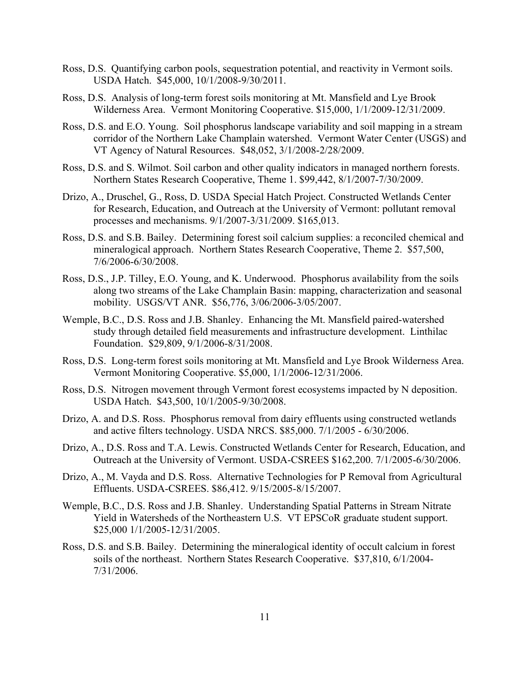- Ross, D.S. Quantifying carbon pools, sequestration potential, and reactivity in Vermont soils. USDA Hatch. \$45,000, 10/1/2008-9/30/2011.
- Ross, D.S. Analysis of long-term forest soils monitoring at Mt. Mansfield and Lye Brook Wilderness Area. Vermont Monitoring Cooperative. \$15,000, 1/1/2009-12/31/2009.
- Ross, D.S. and E.O. Young. Soil phosphorus landscape variability and soil mapping in a stream corridor of the Northern Lake Champlain watershed. Vermont Water Center (USGS) and VT Agency of Natural Resources. \$48,052, 3/1/2008-2/28/2009.
- Ross, D.S. and S. Wilmot. Soil carbon and other quality indicators in managed northern forests. Northern States Research Cooperative, Theme 1. \$99,442, 8/1/2007-7/30/2009.
- Drizo, A., Druschel, G., Ross, D. USDA Special Hatch Project. Constructed Wetlands Center for Research, Education, and Outreach at the University of Vermont: pollutant removal processes and mechanisms. 9/1/2007-3/31/2009. \$165,013.
- Ross, D.S. and S.B. Bailey. Determining forest soil calcium supplies: a reconciled chemical and mineralogical approach. Northern States Research Cooperative, Theme 2. \$57,500, 7/6/2006-6/30/2008.
- Ross, D.S., J.P. Tilley, E.O. Young, and K. Underwood. Phosphorus availability from the soils along two streams of the Lake Champlain Basin: mapping, characterization and seasonal mobility. USGS/VT ANR. \$56,776, 3/06/2006-3/05/2007.
- Wemple, B.C., D.S. Ross and J.B. Shanley. Enhancing the Mt. Mansfield paired-watershed study through detailed field measurements and infrastructure development. Linthilac Foundation. \$29,809, 9/1/2006-8/31/2008.
- Ross, D.S. Long-term forest soils monitoring at Mt. Mansfield and Lye Brook Wilderness Area. Vermont Monitoring Cooperative. \$5,000, 1/1/2006-12/31/2006.
- Ross, D.S. Nitrogen movement through Vermont forest ecosystems impacted by N deposition. USDA Hatch. \$43,500, 10/1/2005-9/30/2008.
- Drizo, A. and D.S. Ross. Phosphorus removal from dairy effluents using constructed wetlands and active filters technology. USDA NRCS. \$85,000. 7/1/2005 - 6/30/2006.
- Drizo, A., D.S. Ross and T.A. Lewis. Constructed Wetlands Center for Research, Education, and Outreach at the University of Vermont. USDA-CSREES \$162,200. 7/1/2005-6/30/2006.
- Drizo, A., M. Vayda and D.S. Ross. Alternative Technologies for P Removal from Agricultural Effluents. USDA-CSREES. \$86,412. 9/15/2005-8/15/2007.
- Wemple, B.C., D.S. Ross and J.B. Shanley. Understanding Spatial Patterns in Stream Nitrate Yield in Watersheds of the Northeastern U.S. VT EPSCoR graduate student support. \$25,000 1/1/2005-12/31/2005.
- Ross, D.S. and S.B. Bailey. Determining the mineralogical identity of occult calcium in forest soils of the northeast. Northern States Research Cooperative. \$37,810, 6/1/2004- 7/31/2006.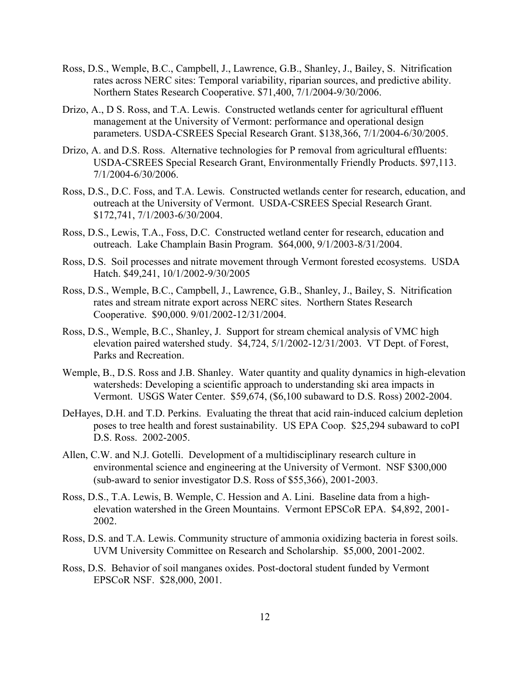- Ross, D.S., Wemple, B.C., Campbell, J., Lawrence, G.B., Shanley, J., Bailey, S. Nitrification rates across NERC sites: Temporal variability, riparian sources, and predictive ability. Northern States Research Cooperative. \$71,400, 7/1/2004-9/30/2006.
- Drizo, A., D S. Ross, and T.A. Lewis. Constructed wetlands center for agricultural effluent management at the University of Vermont: performance and operational design parameters. USDA-CSREES Special Research Grant. \$138,366, 7/1/2004-6/30/2005.
- Drizo, A. and D.S. Ross. Alternative technologies for P removal from agricultural effluents: USDA-CSREES Special Research Grant, Environmentally Friendly Products. \$97,113. 7/1/2004-6/30/2006.
- Ross, D.S., D.C. Foss, and T.A. Lewis. Constructed wetlands center for research, education, and outreach at the University of Vermont. USDA-CSREES Special Research Grant. \$172,741, 7/1/2003-6/30/2004.
- Ross, D.S., Lewis, T.A., Foss, D.C. Constructed wetland center for research, education and outreach. Lake Champlain Basin Program. \$64,000, 9/1/2003-8/31/2004.
- Ross, D.S. Soil processes and nitrate movement through Vermont forested ecosystems. USDA Hatch. \$49,241, 10/1/2002-9/30/2005
- Ross, D.S., Wemple, B.C., Campbell, J., Lawrence, G.B., Shanley, J., Bailey, S. Nitrification rates and stream nitrate export across NERC sites. Northern States Research Cooperative. \$90,000. 9/01/2002-12/31/2004.
- Ross, D.S., Wemple, B.C., Shanley, J. Support for stream chemical analysis of VMC high elevation paired watershed study. \$4,724, 5/1/2002-12/31/2003. VT Dept. of Forest, Parks and Recreation.
- Wemple, B., D.S. Ross and J.B. Shanley. Water quantity and quality dynamics in high-elevation watersheds: Developing a scientific approach to understanding ski area impacts in Vermont. USGS Water Center. \$59,674, (\$6,100 subaward to D.S. Ross) 2002-2004.
- DeHayes, D.H. and T.D. Perkins. Evaluating the threat that acid rain-induced calcium depletion poses to tree health and forest sustainability. US EPA Coop. \$25,294 subaward to coPI D.S. Ross. 2002-2005.
- Allen, C.W. and N.J. Gotelli. Development of a multidisciplinary research culture in environmental science and engineering at the University of Vermont. NSF \$300,000 (sub-award to senior investigator D.S. Ross of \$55,366), 2001-2003.
- Ross, D.S., T.A. Lewis, B. Wemple, C. Hession and A. Lini. Baseline data from a highelevation watershed in the Green Mountains. Vermont EPSCoR EPA. \$4,892, 2001- 2002.
- Ross, D.S. and T.A. Lewis. Community structure of ammonia oxidizing bacteria in forest soils. UVM University Committee on Research and Scholarship. \$5,000, 2001-2002.
- Ross, D.S. Behavior of soil manganes oxides. Post-doctoral student funded by Vermont EPSCoR NSF. \$28,000, 2001.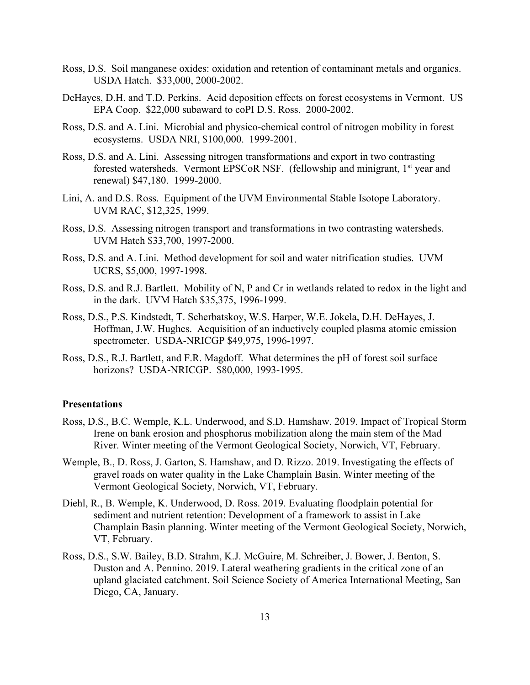- Ross, D.S. Soil manganese oxides: oxidation and retention of contaminant metals and organics. USDA Hatch. \$33,000, 2000-2002.
- DeHayes, D.H. and T.D. Perkins. Acid deposition effects on forest ecosystems in Vermont. US EPA Coop. \$22,000 subaward to coPI D.S. Ross. 2000-2002.
- Ross, D.S. and A. Lini. Microbial and physico-chemical control of nitrogen mobility in forest ecosystems. USDA NRI, \$100,000. 1999-2001.
- Ross, D.S. and A. Lini. Assessing nitrogen transformations and export in two contrasting forested watersheds. Vermont EPSCoR NSF. (fellowship and minigrant, 1<sup>st</sup> year and renewal) \$47,180. 1999-2000.
- Lini, A. and D.S. Ross. Equipment of the UVM Environmental Stable Isotope Laboratory. UVM RAC, \$12,325, 1999.
- Ross, D.S. Assessing nitrogen transport and transformations in two contrasting watersheds. UVM Hatch \$33,700, 1997-2000.
- Ross, D.S. and A. Lini. Method development for soil and water nitrification studies. UVM UCRS, \$5,000, 1997-1998.
- Ross, D.S. and R.J. Bartlett. Mobility of N, P and Cr in wetlands related to redox in the light and in the dark. UVM Hatch \$35,375, 1996-1999.
- Ross, D.S., P.S. Kindstedt, T. Scherbatskoy, W.S. Harper, W.E. Jokela, D.H. DeHayes, J. Hoffman, J.W. Hughes. Acquisition of an inductively coupled plasma atomic emission spectrometer. USDA-NRICGP \$49,975, 1996-1997.
- Ross, D.S., R.J. Bartlett, and F.R. Magdoff. What determines the pH of forest soil surface horizons? USDA-NRICGP. \$80,000, 1993-1995.

## **Presentations**

- Ross, D.S., B.C. Wemple, K.L. Underwood, and S.D. Hamshaw. 2019. Impact of Tropical Storm Irene on bank erosion and phosphorus mobilization along the main stem of the Mad River. Winter meeting of the Vermont Geological Society, Norwich, VT, February.
- Wemple, B., D. Ross, J. Garton, S. Hamshaw, and D. Rizzo. 2019. Investigating the effects of gravel roads on water quality in the Lake Champlain Basin. Winter meeting of the Vermont Geological Society, Norwich, VT, February.
- Diehl, R., B. Wemple, K. Underwood, D. Ross. 2019. Evaluating floodplain potential for sediment and nutrient retention: Development of a framework to assist in Lake Champlain Basin planning. Winter meeting of the Vermont Geological Society, Norwich, VT, February.
- Ross, D.S., S.W. Bailey, B.D. Strahm, K.J. McGuire, M. Schreiber, J. Bower, J. Benton, S. Duston and A. Pennino. 2019. Lateral weathering gradients in the critical zone of an upland glaciated catchment. Soil Science Society of America International Meeting, San Diego, CA, January.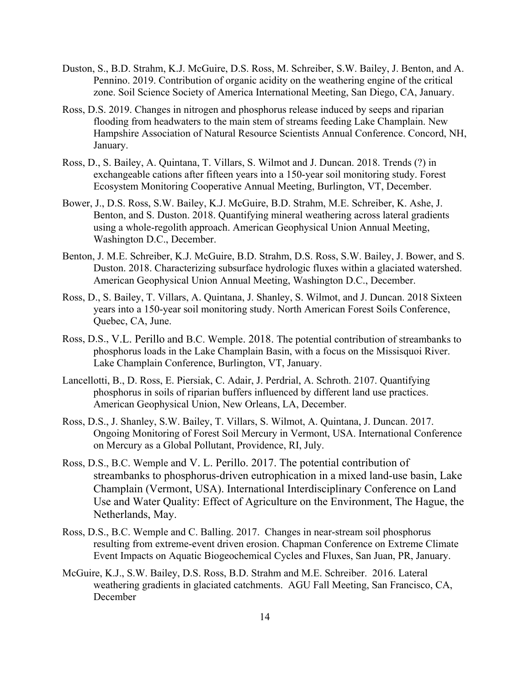- Duston, S., B.D. Strahm, K.J. McGuire, D.S. Ross, M. Schreiber, S.W. Bailey, J. Benton, and A. Pennino. 2019. Contribution of organic acidity on the weathering engine of the critical zone. Soil Science Society of America International Meeting, San Diego, CA, January.
- Ross, D.S. 2019. Changes in nitrogen and phosphorus release induced by seeps and riparian flooding from headwaters to the main stem of streams feeding Lake Champlain. New Hampshire Association of Natural Resource Scientists Annual Conference. Concord, NH, January.
- Ross, D., S. Bailey, A. Quintana, T. Villars, S. Wilmot and J. Duncan. 2018. Trends (?) in exchangeable cations after fifteen years into a 150-year soil monitoring study. Forest Ecosystem Monitoring Cooperative Annual Meeting, Burlington, VT, December.
- Bower, J., D.S. Ross, S.W. Bailey, K.J. McGuire, B.D. Strahm, M.E. Schreiber, K. Ashe, J. Benton, and S. Duston. 2018. Quantifying mineral weathering across lateral gradients using a whole-regolith approach. American Geophysical Union Annual Meeting, Washington D.C., December.
- Benton, J. M.E. Schreiber, K.J. McGuire, B.D. Strahm, D.S. Ross, S.W. Bailey, J. Bower, and S. Duston. 2018. Characterizing subsurface hydrologic fluxes within a glaciated watershed. American Geophysical Union Annual Meeting, Washington D.C., December.
- Ross, D., S. Bailey, T. Villars, A. Quintana, J. Shanley, S. Wilmot, and J. Duncan. 2018 Sixteen years into a 150-year soil monitoring study. North American Forest Soils Conference, Quebec, CA, June.
- Ross, D.S., V.L. Perillo and B.C. Wemple. 2018. The potential contribution of streambanks to phosphorus loads in the Lake Champlain Basin, with a focus on the Missisquoi River. Lake Champlain Conference, Burlington, VT, January.
- Lancellotti, B., D. Ross, E. Piersiak, C. Adair, J. Perdrial, A. Schroth. 2107. Quantifying phosphorus in soils of riparian buffers influenced by different land use practices. American Geophysical Union, New Orleans, LA, December.
- Ross, D.S., J. Shanley, S.W. Bailey, T. Villars, S. Wilmot, A. Quintana, J. Duncan. 2017. Ongoing Monitoring of Forest Soil Mercury in Vermont, USA. International Conference on Mercury as a Global Pollutant, Providence, RI, July.
- Ross, D.S., B.C. Wemple and V. L. Perillo. 2017. The potential contribution of streambanks to phosphorus-driven eutrophication in a mixed land-use basin, Lake Champlain (Vermont, USA). International Interdisciplinary Conference on Land Use and Water Quality: Effect of Agriculture on the Environment, The Hague, the Netherlands, May.
- Ross, D.S., B.C. Wemple and C. Balling. 2017. Changes in near-stream soil phosphorus resulting from extreme-event driven erosion. Chapman Conference on Extreme Climate Event Impacts on Aquatic Biogeochemical Cycles and Fluxes, San Juan, PR, January.
- McGuire, K.J., S.W. Bailey, D.S. Ross, B.D. Strahm and M.E. Schreiber. 2016. Lateral weathering gradients in glaciated catchments. AGU Fall Meeting, San Francisco, CA, December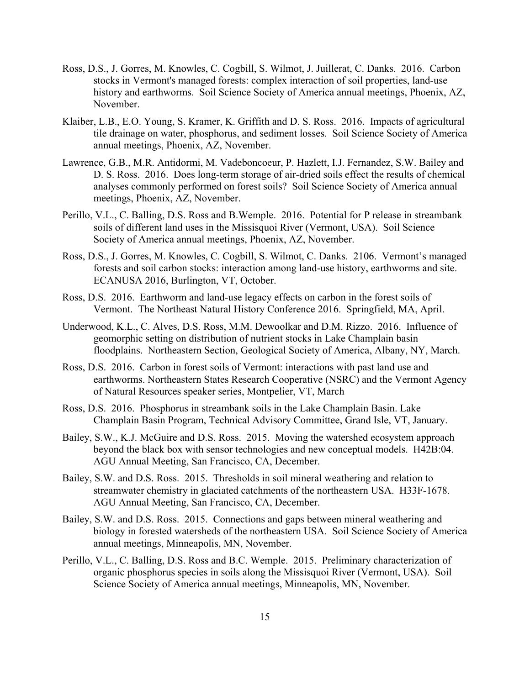- Ross, D.S., J. Gorres, M. Knowles, C. Cogbill, S. Wilmot, J. Juillerat, C. Danks. 2016. Carbon stocks in Vermont's managed forests: complex interaction of soil properties, land-use history and earthworms. Soil Science Society of America annual meetings, Phoenix, AZ, November.
- Klaiber, L.B., E.O. Young, S. Kramer, K. Griffith and D. S. Ross. 2016. Impacts of agricultural tile drainage on water, phosphorus, and sediment losses. Soil Science Society of America annual meetings, Phoenix, AZ, November.
- Lawrence, G.B., M.R. Antidormi, M. Vadeboncoeur, P. Hazlett, I.J. Fernandez, S.W. Bailey and D. S. Ross. 2016. Does long-term storage of air-dried soils effect the results of chemical analyses commonly performed on forest soils? Soil Science Society of America annual meetings, Phoenix, AZ, November.
- Perillo, V.L., C. Balling, D.S. Ross and B.Wemple. 2016. Potential for P release in streambank soils of different land uses in the Missisquoi River (Vermont, USA). Soil Science Society of America annual meetings, Phoenix, AZ, November.
- Ross, D.S., J. Gorres, M. Knowles, C. Cogbill, S. Wilmot, C. Danks. 2106. Vermont's managed forests and soil carbon stocks: interaction among land-use history, earthworms and site. ECANUSA 2016, Burlington, VT, October.
- Ross, D.S. 2016. Earthworm and land-use legacy effects on carbon in the forest soils of Vermont. The Northeast Natural History Conference 2016. Springfield, MA, April.
- Underwood, K.L., C. Alves, D.S. Ross, M.M. Dewoolkar and D.M. Rizzo. 2016. Influence of geomorphic setting on distribution of nutrient stocks in Lake Champlain basin floodplains. Northeastern Section, Geological Society of America, Albany, NY, March.
- Ross, D.S. 2016. Carbon in forest soils of Vermont: interactions with past land use and earthworms. Northeastern States Research Cooperative (NSRC) and the Vermont Agency of Natural Resources speaker series, Montpelier, VT, March
- Ross, D.S. 2016. Phosphorus in streambank soils in the Lake Champlain Basin. Lake Champlain Basin Program, Technical Advisory Committee, Grand Isle, VT, January.
- Bailey, S.W., K.J. McGuire and D.S. Ross. 2015. Moving the watershed ecosystem approach beyond the black box with sensor technologies and new conceptual models. H42B:04. AGU Annual Meeting, San Francisco, CA, December.
- Bailey, S.W. and D.S. Ross. 2015. Thresholds in soil mineral weathering and relation to streamwater chemistry in glaciated catchments of the northeastern USA. H33F-1678. AGU Annual Meeting, San Francisco, CA, December.
- Bailey, S.W. and D.S. Ross. 2015. Connections and gaps between mineral weathering and biology in forested watersheds of the northeastern USA. Soil Science Society of America annual meetings, Minneapolis, MN, November.
- Perillo, V.L., C. Balling, D.S. Ross and B.C. Wemple. 2015. Preliminary characterization of organic phosphorus species in soils along the Missisquoi River (Vermont, USA). Soil Science Society of America annual meetings, Minneapolis, MN, November.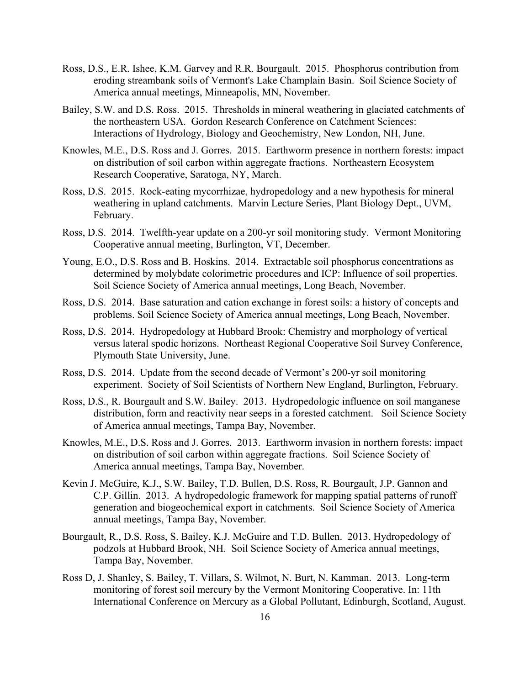- Ross, D.S., E.R. Ishee, K.M. Garvey and R.R. Bourgault. 2015. Phosphorus contribution from eroding streambank soils of Vermont's Lake Champlain Basin. Soil Science Society of America annual meetings, Minneapolis, MN, November.
- Bailey, S.W. and D.S. Ross. 2015. Thresholds in mineral weathering in glaciated catchments of the northeastern USA. Gordon Research Conference on Catchment Sciences: Interactions of Hydrology, Biology and Geochemistry, New London, NH, June.
- Knowles, M.E., D.S. Ross and J. Gorres. 2015. Earthworm presence in northern forests: impact on distribution of soil carbon within aggregate fractions. Northeastern Ecosystem Research Cooperative, Saratoga, NY, March.
- Ross, D.S. 2015. Rock-eating mycorrhizae, hydropedology and a new hypothesis for mineral weathering in upland catchments. Marvin Lecture Series, Plant Biology Dept., UVM, February.
- Ross, D.S. 2014. Twelfth-year update on a 200-yr soil monitoring study. Vermont Monitoring Cooperative annual meeting, Burlington, VT, December.
- Young, E.O., D.S. Ross and B. Hoskins. 2014. Extractable soil phosphorus concentrations as determined by molybdate colorimetric procedures and ICP: Influence of soil properties. Soil Science Society of America annual meetings, Long Beach, November.
- Ross, D.S. 2014. Base saturation and cation exchange in forest soils: a history of concepts and problems. Soil Science Society of America annual meetings, Long Beach, November.
- Ross, D.S. 2014. Hydropedology at Hubbard Brook: Chemistry and morphology of vertical versus lateral spodic horizons. Northeast Regional Cooperative Soil Survey Conference, Plymouth State University, June.
- Ross, D.S. 2014. Update from the second decade of Vermont's 200-yr soil monitoring experiment. Society of Soil Scientists of Northern New England, Burlington, February.
- Ross, D.S., R. Bourgault and S.W. Bailey. 2013. Hydropedologic influence on soil manganese distribution, form and reactivity near seeps in a forested catchment. Soil Science Society of America annual meetings, Tampa Bay, November.
- Knowles, M.E., D.S. Ross and J. Gorres. 2013. Earthworm invasion in northern forests: impact on distribution of soil carbon within aggregate fractions. Soil Science Society of America annual meetings, Tampa Bay, November.
- Kevin J. McGuire, K.J., S.W. Bailey, T.D. Bullen, D.S. Ross, R. Bourgault, J.P. Gannon and C.P. Gillin. 2013. A hydropedologic framework for mapping spatial patterns of runoff generation and biogeochemical export in catchments. Soil Science Society of America annual meetings, Tampa Bay, November.
- Bourgault, R., D.S. Ross, S. Bailey, K.J. McGuire and T.D. Bullen. 2013. Hydropedology of podzols at Hubbard Brook, NH. Soil Science Society of America annual meetings, Tampa Bay, November.
- Ross D, J. Shanley, S. Bailey, T. Villars, S. Wilmot, N. Burt, N. Kamman. 2013. Long-term monitoring of forest soil mercury by the Vermont Monitoring Cooperative. In: 11th International Conference on Mercury as a Global Pollutant, Edinburgh, Scotland, August.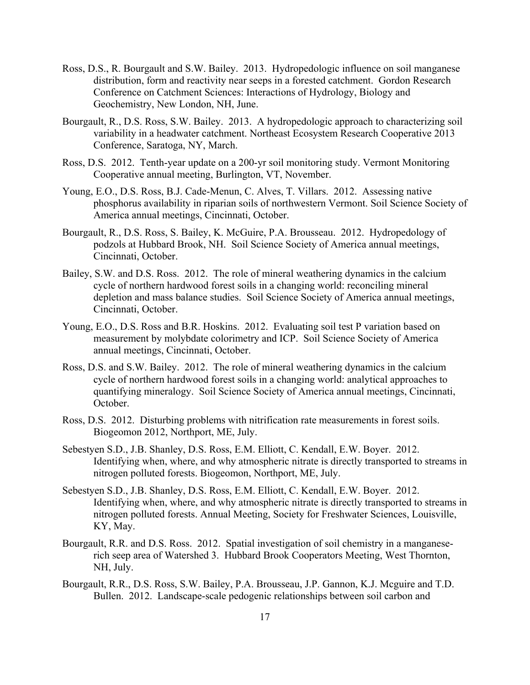- Ross, D.S., R. Bourgault and S.W. Bailey. 2013. Hydropedologic influence on soil manganese distribution, form and reactivity near seeps in a forested catchment. Gordon Research Conference on Catchment Sciences: Interactions of Hydrology, Biology and Geochemistry, New London, NH, June.
- Bourgault, R., D.S. Ross, S.W. Bailey. 2013. A hydropedologic approach to characterizing soil variability in a headwater catchment. Northeast Ecosystem Research Cooperative 2013 Conference, Saratoga, NY, March.
- Ross, D.S. 2012. Tenth-year update on a 200-yr soil monitoring study. Vermont Monitoring Cooperative annual meeting, Burlington, VT, November.
- Young, E.O., D.S. Ross, B.J. Cade-Menun, C. Alves, T. Villars. 2012. Assessing native phosphorus availability in riparian soils of northwestern Vermont. Soil Science Society of America annual meetings, Cincinnati, October.
- Bourgault, R., D.S. Ross, S. Bailey, K. McGuire, P.A. Brousseau. 2012. Hydropedology of podzols at Hubbard Brook, NH. Soil Science Society of America annual meetings, Cincinnati, October.
- Bailey, S.W. and D.S. Ross. 2012. The role of mineral weathering dynamics in the calcium cycle of northern hardwood forest soils in a changing world: reconciling mineral depletion and mass balance studies. Soil Science Society of America annual meetings, Cincinnati, October.
- Young, E.O., D.S. Ross and B.R. Hoskins. 2012. Evaluating soil test P variation based on measurement by molybdate colorimetry and ICP. Soil Science Society of America annual meetings, Cincinnati, October.
- Ross, D.S. and S.W. Bailey. 2012. The role of mineral weathering dynamics in the calcium cycle of northern hardwood forest soils in a changing world: analytical approaches to quantifying mineralogy. Soil Science Society of America annual meetings, Cincinnati, October.
- Ross, D.S. 2012. Disturbing problems with nitrification rate measurements in forest soils. Biogeomon 2012, Northport, ME, July.
- Sebestyen S.D., J.B. Shanley, D.S. Ross, E.M. Elliott, C. Kendall, E.W. Boyer. 2012. Identifying when, where, and why atmospheric nitrate is directly transported to streams in nitrogen polluted forests. Biogeomon, Northport, ME, July.
- Sebestyen S.D., J.B. Shanley, D.S. Ross, E.M. Elliott, C. Kendall, E.W. Boyer. 2012. Identifying when, where, and why atmospheric nitrate is directly transported to streams in nitrogen polluted forests. Annual Meeting, Society for Freshwater Sciences, Louisville, KY, May.
- Bourgault, R.R. and D.S. Ross. 2012. Spatial investigation of soil chemistry in a manganeserich seep area of Watershed 3. Hubbard Brook Cooperators Meeting, West Thornton, NH, July.
- Bourgault, R.R., D.S. Ross, S.W. Bailey, P.A. Brousseau, J.P. Gannon, K.J. Mcguire and T.D. Bullen. 2012. Landscape-scale pedogenic relationships between soil carbon and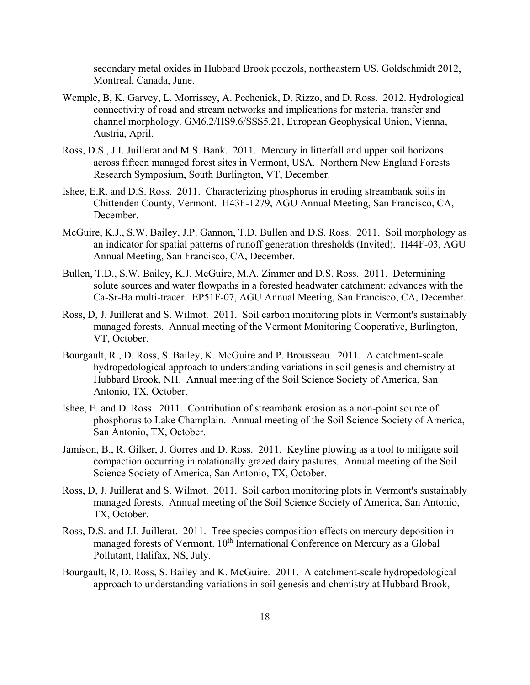secondary metal oxides in Hubbard Brook podzols, northeastern US. Goldschmidt 2012, Montreal, Canada, June.

- Wemple, B, K. Garvey, L. Morrissey, A. Pechenick, D. Rizzo, and D. Ross. 2012. Hydrological connectivity of road and stream networks and implications for material transfer and channel morphology. GM6.2/HS9.6/SSS5.21, European Geophysical Union, Vienna, Austria, April.
- Ross, D.S., J.I. Juillerat and M.S. Bank. 2011. Mercury in litterfall and upper soil horizons across fifteen managed forest sites in Vermont, USA. Northern New England Forests Research Symposium, South Burlington, VT, December.
- Ishee, E.R. and D.S. Ross. 2011. Characterizing phosphorus in eroding streambank soils in Chittenden County, Vermont. H43F-1279, AGU Annual Meeting, San Francisco, CA, December.
- McGuire, K.J., S.W. Bailey, J.P. Gannon, T.D. Bullen and D.S. Ross. 2011. Soil morphology as an indicator for spatial patterns of runoff generation thresholds (Invited). H44F-03, AGU Annual Meeting, San Francisco, CA, December.
- Bullen, T.D., S.W. Bailey, K.J. McGuire, M.A. Zimmer and D.S. Ross. 2011. Determining solute sources and water flowpaths in a forested headwater catchment: advances with the Ca-Sr-Ba multi-tracer. EP51F-07, AGU Annual Meeting, San Francisco, CA, December.
- Ross, D, J. Juillerat and S. Wilmot. 2011. Soil carbon monitoring plots in Vermont's sustainably managed forests. Annual meeting of the Vermont Monitoring Cooperative, Burlington, VT, October.
- Bourgault, R., D. Ross, S. Bailey, K. McGuire and P. Brousseau. 2011. A catchment-scale hydropedological approach to understanding variations in soil genesis and chemistry at Hubbard Brook, NH. Annual meeting of the Soil Science Society of America, San Antonio, TX, October.
- Ishee, E. and D. Ross. 2011. Contribution of streambank erosion as a non-point source of phosphorus to Lake Champlain. Annual meeting of the Soil Science Society of America, San Antonio, TX, October.
- Jamison, B., R. Gilker, J. Gorres and D. Ross. 2011. Keyline plowing as a tool to mitigate soil compaction occurring in rotationally grazed dairy pastures. Annual meeting of the Soil Science Society of America, San Antonio, TX, October.
- Ross, D, J. Juillerat and S. Wilmot. 2011. Soil carbon monitoring plots in Vermont's sustainably managed forests. Annual meeting of the Soil Science Society of America, San Antonio, TX, October.
- Ross, D.S. and J.I. Juillerat. 2011. Tree species composition effects on mercury deposition in managed forests of Vermont. 10<sup>th</sup> International Conference on Mercury as a Global Pollutant, Halifax, NS, July.
- Bourgault, R, D. Ross, S. Bailey and K. McGuire. 2011. A catchment-scale hydropedological approach to understanding variations in soil genesis and chemistry at Hubbard Brook,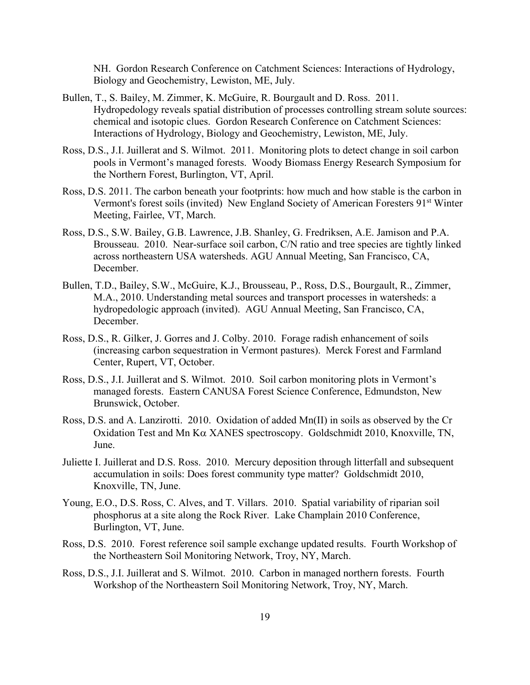NH. Gordon Research Conference on Catchment Sciences: Interactions of Hydrology, Biology and Geochemistry, Lewiston, ME, July.

- Bullen, T., S. Bailey, M. Zimmer, K. McGuire, R. Bourgault and D. Ross. 2011. Hydropedology reveals spatial distribution of processes controlling stream solute sources: chemical and isotopic clues. Gordon Research Conference on Catchment Sciences: Interactions of Hydrology, Biology and Geochemistry, Lewiston, ME, July.
- Ross, D.S., J.I. Juillerat and S. Wilmot. 2011. Monitoring plots to detect change in soil carbon pools in Vermont's managed forests. Woody Biomass Energy Research Symposium for the Northern Forest, Burlington, VT, April.
- Ross, D.S. 2011. The carbon beneath your footprints: how much and how stable is the carbon in Vermont's forest soils (invited) New England Society of American Foresters 91st Winter Meeting, Fairlee, VT, March.
- Ross, D.S., S.W. Bailey, G.B. Lawrence, J.B. Shanley, G. Fredriksen, A.E. Jamison and P.A. Brousseau. 2010. Near-surface soil carbon, C/N ratio and tree species are tightly linked across northeastern USA watersheds. AGU Annual Meeting, San Francisco, CA, December.
- Bullen, T.D., Bailey, S.W., McGuire, K.J., Brousseau, P., Ross, D.S., Bourgault, R., Zimmer, M.A., 2010. Understanding metal sources and transport processes in watersheds: a hydropedologic approach (invited). AGU Annual Meeting, San Francisco, CA, December.
- Ross, D.S., R. Gilker, J. Gorres and J. Colby. 2010. Forage radish enhancement of soils (increasing carbon sequestration in Vermont pastures). Merck Forest and Farmland Center, Rupert, VT, October.
- Ross, D.S., J.I. Juillerat and S. Wilmot. 2010. Soil carbon monitoring plots in Vermont's managed forests. Eastern CANUSA Forest Science Conference, Edmundston, New Brunswick, October.
- Ross, D.S. and A. Lanzirotti. 2010. Oxidation of added Mn(II) in soils as observed by the Cr Oxidation Test and Mn K $\alpha$  XANES spectroscopy. Goldschmidt 2010, Knoxville, TN, June.
- Juliette I. Juillerat and D.S. Ross. 2010. Mercury deposition through litterfall and subsequent accumulation in soils: Does forest community type matter? Goldschmidt 2010, Knoxville, TN, June.
- Young, E.O., D.S. Ross, C. Alves, and T. Villars. 2010. Spatial variability of riparian soil phosphorus at a site along the Rock River. Lake Champlain 2010 Conference, Burlington, VT, June.
- Ross, D.S. 2010. Forest reference soil sample exchange updated results. Fourth Workshop of the Northeastern Soil Monitoring Network, Troy, NY, March.
- Ross, D.S., J.I. Juillerat and S. Wilmot. 2010. Carbon in managed northern forests. Fourth Workshop of the Northeastern Soil Monitoring Network, Troy, NY, March.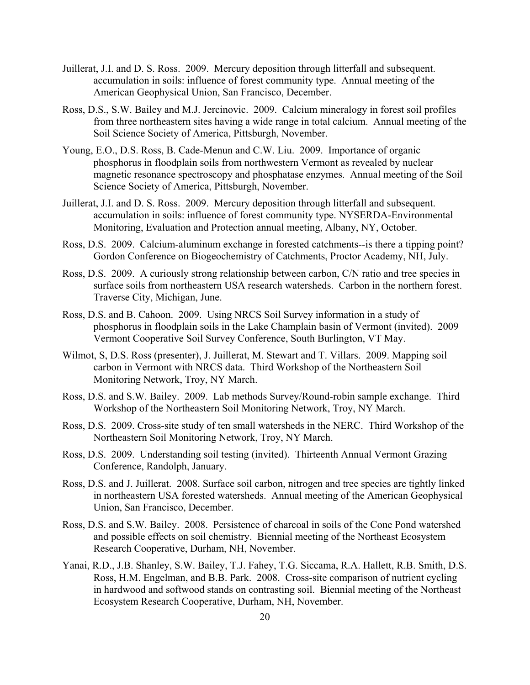- Juillerat, J.I. and D. S. Ross. 2009. Mercury deposition through litterfall and subsequent. accumulation in soils: influence of forest community type. Annual meeting of the American Geophysical Union, San Francisco, December.
- Ross, D.S., S.W. Bailey and M.J. Jercinovic. 2009. Calcium mineralogy in forest soil profiles from three northeastern sites having a wide range in total calcium. Annual meeting of the Soil Science Society of America, Pittsburgh, November.
- Young, E.O., D.S. Ross, B. Cade-Menun and C.W. Liu. 2009. Importance of organic phosphorus in floodplain soils from northwestern Vermont as revealed by nuclear magnetic resonance spectroscopy and phosphatase enzymes. Annual meeting of the Soil Science Society of America, Pittsburgh, November.
- Juillerat, J.I. and D. S. Ross. 2009. Mercury deposition through litterfall and subsequent. accumulation in soils: influence of forest community type. NYSERDA-Environmental Monitoring, Evaluation and Protection annual meeting, Albany, NY, October.
- Ross, D.S. 2009. Calcium-aluminum exchange in forested catchments--is there a tipping point? Gordon Conference on Biogeochemistry of Catchments, Proctor Academy, NH, July.
- Ross, D.S. 2009. A curiously strong relationship between carbon, C/N ratio and tree species in surface soils from northeastern USA research watersheds. Carbon in the northern forest. Traverse City, Michigan, June.
- Ross, D.S. and B. Cahoon. 2009. Using NRCS Soil Survey information in a study of phosphorus in floodplain soils in the Lake Champlain basin of Vermont (invited). 2009 Vermont Cooperative Soil Survey Conference, South Burlington, VT May.
- Wilmot, S, D.S. Ross (presenter), J. Juillerat, M. Stewart and T. Villars. 2009. Mapping soil carbon in Vermont with NRCS data. Third Workshop of the Northeastern Soil Monitoring Network, Troy, NY March.
- Ross, D.S. and S.W. Bailey. 2009. Lab methods Survey/Round-robin sample exchange. Third Workshop of the Northeastern Soil Monitoring Network, Troy, NY March.
- Ross, D.S. 2009. Cross-site study of ten small watersheds in the NERC. Third Workshop of the Northeastern Soil Monitoring Network, Troy, NY March.
- Ross, D.S. 2009. Understanding soil testing (invited). Thirteenth Annual Vermont Grazing Conference, Randolph, January.
- Ross, D.S. and J. Juillerat. 2008. Surface soil carbon, nitrogen and tree species are tightly linked in northeastern USA forested watersheds. Annual meeting of the American Geophysical Union, San Francisco, December.
- Ross, D.S. and S.W. Bailey. 2008. Persistence of charcoal in soils of the Cone Pond watershed and possible effects on soil chemistry. Biennial meeting of the Northeast Ecosystem Research Cooperative, Durham, NH, November.
- Yanai, R.D., J.B. Shanley, S.W. Bailey, T.J. Fahey, T.G. Siccama, R.A. Hallett, R.B. Smith, D.S. Ross, H.M. Engelman, and B.B. Park. 2008. Cross-site comparison of nutrient cycling in hardwood and softwood stands on contrasting soil. Biennial meeting of the Northeast Ecosystem Research Cooperative, Durham, NH, November.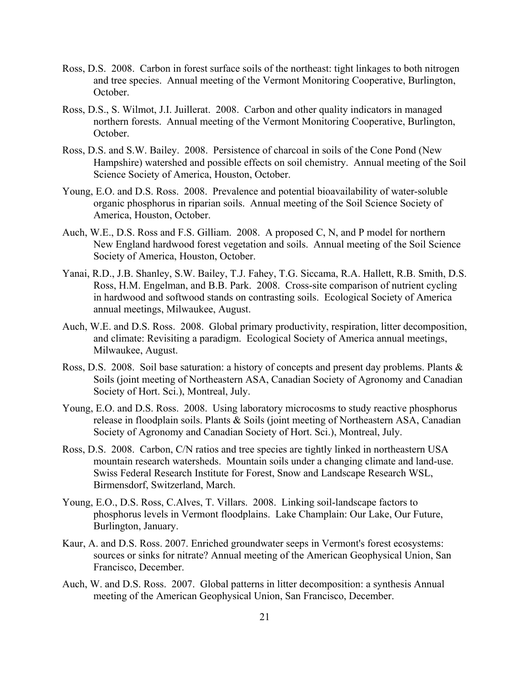- Ross, D.S. 2008. Carbon in forest surface soils of the northeast: tight linkages to both nitrogen and tree species. Annual meeting of the Vermont Monitoring Cooperative, Burlington, October.
- Ross, D.S., S. Wilmot, J.I. Juillerat. 2008. Carbon and other quality indicators in managed northern forests. Annual meeting of the Vermont Monitoring Cooperative, Burlington, October.
- Ross, D.S. and S.W. Bailey. 2008. Persistence of charcoal in soils of the Cone Pond (New Hampshire) watershed and possible effects on soil chemistry. Annual meeting of the Soil Science Society of America, Houston, October.
- Young, E.O. and D.S. Ross. 2008. Prevalence and potential bioavailability of water-soluble organic phosphorus in riparian soils. Annual meeting of the Soil Science Society of America, Houston, October.
- Auch, W.E., D.S. Ross and F.S. Gilliam. 2008. A proposed C, N, and P model for northern New England hardwood forest vegetation and soils. Annual meeting of the Soil Science Society of America, Houston, October.
- Yanai, R.D., J.B. Shanley, S.W. Bailey, T.J. Fahey, T.G. Siccama, R.A. Hallett, R.B. Smith, D.S. Ross, H.M. Engelman, and B.B. Park. 2008. Cross-site comparison of nutrient cycling in hardwood and softwood stands on contrasting soils. Ecological Society of America annual meetings, Milwaukee, August.
- Auch, W.E. and D.S. Ross. 2008. Global primary productivity, respiration, litter decomposition, and climate: Revisiting a paradigm. Ecological Society of America annual meetings, Milwaukee, August.
- Ross, D.S. 2008. Soil base saturation: a history of concepts and present day problems. Plants & Soils (joint meeting of Northeastern ASA, Canadian Society of Agronomy and Canadian Society of Hort. Sci.), Montreal, July.
- Young, E.O. and D.S. Ross. 2008. Using laboratory microcosms to study reactive phosphorus release in floodplain soils. Plants & Soils (joint meeting of Northeastern ASA, Canadian Society of Agronomy and Canadian Society of Hort. Sci.), Montreal, July.
- Ross, D.S. 2008. Carbon, C/N ratios and tree species are tightly linked in northeastern USA mountain research watersheds. Mountain soils under a changing climate and land-use. Swiss Federal Research Institute for Forest, Snow and Landscape Research WSL, Birmensdorf, Switzerland, March.
- Young, E.O., D.S. Ross, C.Alves, T. Villars. 2008. Linking soil-landscape factors to phosphorus levels in Vermont floodplains. Lake Champlain: Our Lake, Our Future, Burlington, January.
- Kaur, A. and D.S. Ross. 2007. Enriched groundwater seeps in Vermont's forest ecosystems: sources or sinks for nitrate? Annual meeting of the American Geophysical Union, San Francisco, December.
- Auch, W. and D.S. Ross. 2007. Global patterns in litter decomposition: a synthesis Annual meeting of the American Geophysical Union, San Francisco, December.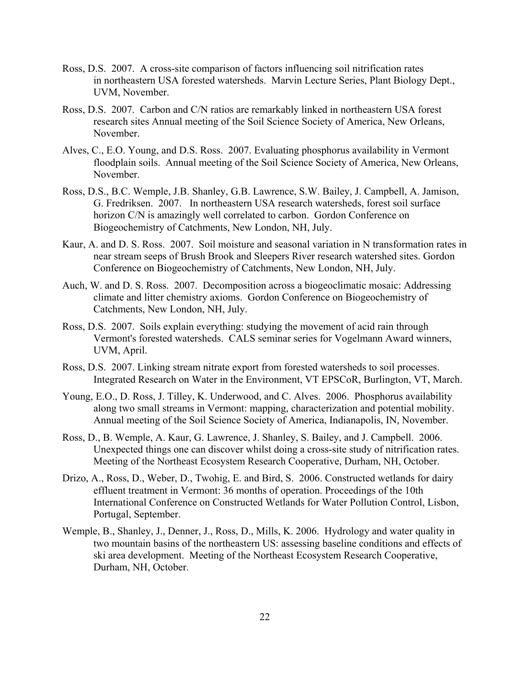- Ross, D.S. 2007. A cross-site comparison of factors influencing soil nitrification rates in northeastern USA forested watersheds. Marvin Lecture Series, Plant Biology Dept., UVM, November.
- Ross, D.S. 2007. Carbon and C/N ratios are remarkably linked in northeastern USA forest research sites Annual meeting of the Soil Science Society of America, New Orleans, November.
- Alves, C., E.O. Young, and D.S. Ross. 2007. Evaluating phosphorus availability in Vermont floodplain soils. Annual meeting of the Soil Science Society of America, New Orleans, November.
- Ross, D.S., B.C. Wemple, J.B. Shanley, G.B. Lawrence, S.W. Bailey, J. Campbell, A. Jamison, G. Fredriksen. 2007. In northeastern USA research watersheds, forest soil surface horizon C/N is amazingly well correlated to carbon. Gordon Conference on Biogeochemistry of Catchments, New London, NH, July.
- Kaur, A. and D. S. Ross. 2007. Soil moisture and seasonal variation in N transformation rates in near stream seeps of Brush Brook and Sleepers River research watershed sites. Gordon Conference on Biogeochemistry of Catchments, New London, NH, July.
- Auch, W. and D. S. Ross. 2007. Decomposition across a biogeoclimatic mosaic: Addressing climate and litter chemistry axioms. Gordon Conference on Biogeochemistry of Catchments, New London, NH, July.
- Ross, D.S. 2007. Soils explain everything: studying the movement of acid rain through Vermont's forested watersheds. CALS seminar series for Vogelmann Award winners, UVM, April.
- Ross, D.S. 2007. Linking stream nitrate export from forested watersheds to soil processes. Integrated Research on Water in the Environment, VT EPSCoR, Burlington, VT, March.
- Young, E.O., D. Ross, J. Tilley, K. Underwood, and C. Alves. 2006. Phosphorus availability along two small streams in Vermont: mapping, characterization and potential mobility. Annual meeting of the Soil Science Society of America, Indianapolis, IN, November.
- Ross, D., B. Wemple, A. Kaur, G. Lawrence, J. Shanley, S. Bailey, and J. Campbell. 2006. Unexpected things one can discover whilst doing a cross-site study of nitrification rates. Meeting of the Northeast Ecosystem Research Cooperative, Durham, NH, October.
- Drizo, A., Ross, D., Weber, D., Twohig, E. and Bird, S. 2006. Constructed wetlands for dairy effluent treatment in Vermont: 36 months of operation. Proceedings of the 10th International Conference on Constructed Wetlands for Water Pollution Control, Lisbon, Portugal, September.
- Wemple, B., Shanley, J., Denner, J., Ross, D., Mills, K. 2006. Hydrology and water quality in two mountain basins of the northeastern US: assessing baseline conditions and effects of ski area development. Meeting of the Northeast Ecosystem Research Cooperative, Durham, NH, October.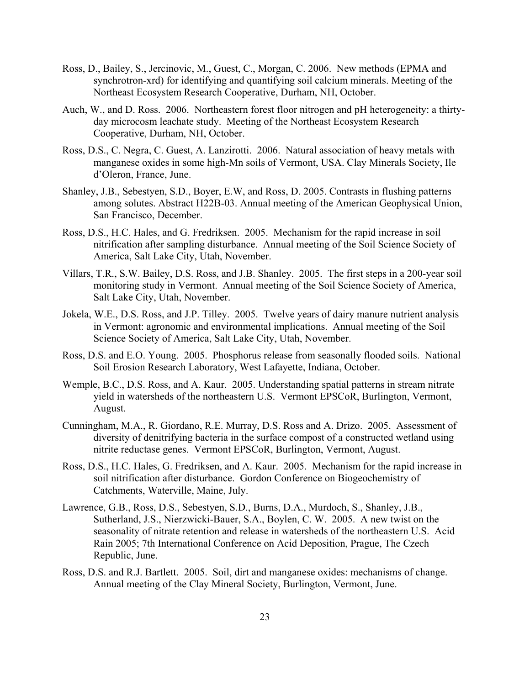- Ross, D., Bailey, S., Jercinovic, M., Guest, C., Morgan, C. 2006. New methods (EPMA and synchrotron-xrd) for identifying and quantifying soil calcium minerals. Meeting of the Northeast Ecosystem Research Cooperative, Durham, NH, October.
- Auch, W., and D. Ross. 2006. Northeastern forest floor nitrogen and pH heterogeneity: a thirtyday microcosm leachate study. Meeting of the Northeast Ecosystem Research Cooperative, Durham, NH, October.
- Ross, D.S., C. Negra, C. Guest, A. Lanzirotti. 2006. Natural association of heavy metals with manganese oxides in some high-Mn soils of Vermont, USA. Clay Minerals Society, Ile d'Oleron, France, June.
- Shanley, J.B., Sebestyen, S.D., Boyer, E.W, and Ross, D. 2005. Contrasts in flushing patterns among solutes. Abstract H22B-03. Annual meeting of the American Geophysical Union, San Francisco, December.
- Ross, D.S., H.C. Hales, and G. Fredriksen. 2005. Mechanism for the rapid increase in soil nitrification after sampling disturbance. Annual meeting of the Soil Science Society of America, Salt Lake City, Utah, November.
- Villars, T.R., S.W. Bailey, D.S. Ross, and J.B. Shanley. 2005. The first steps in a 200-year soil monitoring study in Vermont. Annual meeting of the Soil Science Society of America, Salt Lake City, Utah, November.
- Jokela, W.E., D.S. Ross, and J.P. Tilley. 2005. Twelve years of dairy manure nutrient analysis in Vermont: agronomic and environmental implications. Annual meeting of the Soil Science Society of America, Salt Lake City, Utah, November.
- Ross, D.S. and E.O. Young. 2005. Phosphorus release from seasonally flooded soils. National Soil Erosion Research Laboratory, West Lafayette, Indiana, October.
- Wemple, B.C., D.S. Ross, and A. Kaur. 2005. Understanding spatial patterns in stream nitrate yield in watersheds of the northeastern U.S. Vermont EPSCoR, Burlington, Vermont, August.
- Cunningham, M.A., R. Giordano, R.E. Murray, D.S. Ross and A. Drizo. 2005. Assessment of diversity of denitrifying bacteria in the surface compost of a constructed wetland using nitrite reductase genes. Vermont EPSCoR, Burlington, Vermont, August.
- Ross, D.S., H.C. Hales, G. Fredriksen, and A. Kaur. 2005. Mechanism for the rapid increase in soil nitrification after disturbance. Gordon Conference on Biogeochemistry of Catchments, Waterville, Maine, July.
- Lawrence, G.B., Ross, D.S., Sebestyen, S.D., Burns, D.A., Murdoch, S., Shanley, J.B., Sutherland, J.S., Nierzwicki-Bauer, S.A., Boylen, C. W. 2005. A new twist on the seasonality of nitrate retention and release in watersheds of the northeastern U.S. Acid Rain 2005; 7th International Conference on Acid Deposition, Prague, The Czech Republic, June.
- Ross, D.S. and R.J. Bartlett. 2005. Soil, dirt and manganese oxides: mechanisms of change. Annual meeting of the Clay Mineral Society, Burlington, Vermont, June.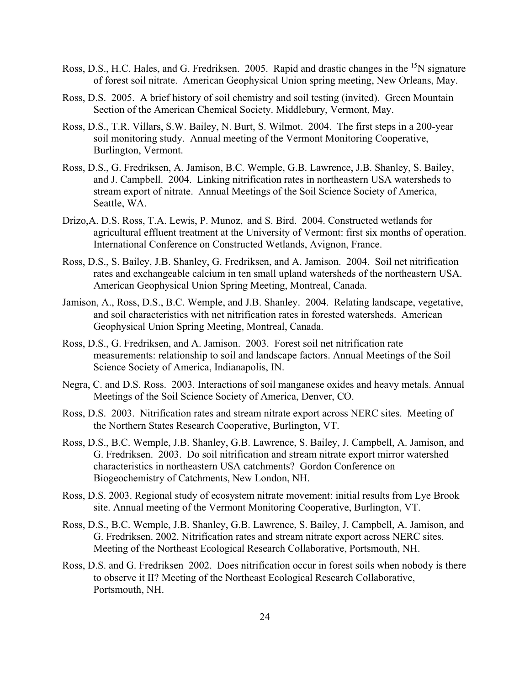- Ross, D.S., H.C. Hales, and G. Fredriksen. 2005. Rapid and drastic changes in the <sup>15</sup>N signature of forest soil nitrate. American Geophysical Union spring meeting, New Orleans, May.
- Ross, D.S. 2005. A brief history of soil chemistry and soil testing (invited). Green Mountain Section of the American Chemical Society. Middlebury, Vermont, May.
- Ross, D.S., T.R. Villars, S.W. Bailey, N. Burt, S. Wilmot. 2004. The first steps in a 200-year soil monitoring study. Annual meeting of the Vermont Monitoring Cooperative, Burlington, Vermont.
- Ross, D.S., G. Fredriksen, A. Jamison, B.C. Wemple, G.B. Lawrence, J.B. Shanley, S. Bailey, and J. Campbell. 2004. Linking nitrification rates in northeastern USA watersheds to stream export of nitrate. Annual Meetings of the Soil Science Society of America, Seattle, WA.
- Drizo,A. D.S. Ross, T.A. Lewis, P. Munoz, and S. Bird. 2004. Constructed wetlands for agricultural effluent treatment at the University of Vermont: first six months of operation. International Conference on Constructed Wetlands, Avignon, France.
- Ross, D.S., S. Bailey, J.B. Shanley, G. Fredriksen, and A. Jamison. 2004. Soil net nitrification rates and exchangeable calcium in ten small upland watersheds of the northeastern USA. American Geophysical Union Spring Meeting, Montreal, Canada.
- Jamison, A., Ross, D.S., B.C. Wemple, and J.B. Shanley. 2004. Relating landscape, vegetative, and soil characteristics with net nitrification rates in forested watersheds. American Geophysical Union Spring Meeting, Montreal, Canada.
- Ross, D.S., G. Fredriksen, and A. Jamison. 2003. Forest soil net nitrification rate measurements: relationship to soil and landscape factors. Annual Meetings of the Soil Science Society of America, Indianapolis, IN.
- Negra, C. and D.S. Ross. 2003. Interactions of soil manganese oxides and heavy metals. Annual Meetings of the Soil Science Society of America, Denver, CO.
- Ross, D.S. 2003. Nitrification rates and stream nitrate export across NERC sites. Meeting of the Northern States Research Cooperative, Burlington, VT.
- Ross, D.S., B.C. Wemple, J.B. Shanley, G.B. Lawrence, S. Bailey, J. Campbell, A. Jamison, and G. Fredriksen. 2003. Do soil nitrification and stream nitrate export mirror watershed characteristics in northeastern USA catchments? Gordon Conference on Biogeochemistry of Catchments, New London, NH.
- Ross, D.S. 2003. Regional study of ecosystem nitrate movement: initial results from Lye Brook site. Annual meeting of the Vermont Monitoring Cooperative, Burlington, VT.
- Ross, D.S., B.C. Wemple, J.B. Shanley, G.B. Lawrence, S. Bailey, J. Campbell, A. Jamison, and G. Fredriksen. 2002. Nitrification rates and stream nitrate export across NERC sites. Meeting of the Northeast Ecological Research Collaborative, Portsmouth, NH.
- Ross, D.S. and G. Fredriksen 2002. Does nitrification occur in forest soils when nobody is there to observe it II? Meeting of the Northeast Ecological Research Collaborative, Portsmouth, NH.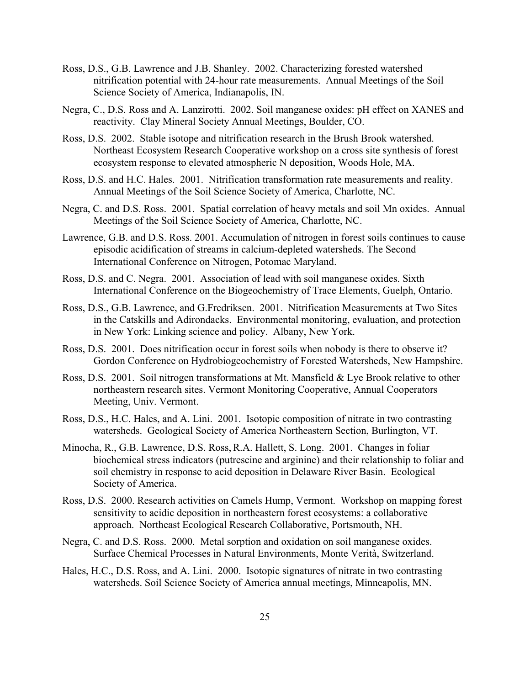- Ross, D.S., G.B. Lawrence and J.B. Shanley. 2002. Characterizing forested watershed nitrification potential with 24-hour rate measurements. Annual Meetings of the Soil Science Society of America, Indianapolis, IN.
- Negra, C., D.S. Ross and A. Lanzirotti. 2002. Soil manganese oxides: pH effect on XANES and reactivity. Clay Mineral Society Annual Meetings, Boulder, CO.
- Ross, D.S. 2002. Stable isotope and nitrification research in the Brush Brook watershed. Northeast Ecosystem Research Cooperative workshop on a cross site synthesis of forest ecosystem response to elevated atmospheric N deposition, Woods Hole, MA.
- Ross, D.S. and H.C. Hales. 2001. Nitrification transformation rate measurements and reality. Annual Meetings of the Soil Science Society of America, Charlotte, NC.
- Negra, C. and D.S. Ross. 2001. Spatial correlation of heavy metals and soil Mn oxides. Annual Meetings of the Soil Science Society of America, Charlotte, NC.
- Lawrence, G.B. and D.S. Ross. 2001. Accumulation of nitrogen in forest soils continues to cause episodic acidification of streams in calcium-depleted watersheds. The Second International Conference on Nitrogen, Potomac Maryland.
- Ross, D.S. and C. Negra. 2001. Association of lead with soil manganese oxides. Sixth International Conference on the Biogeochemistry of Trace Elements, Guelph, Ontario.
- Ross, D.S., G.B. Lawrence, and G.Fredriksen. 2001. Nitrification Measurements at Two Sites in the Catskills and Adirondacks. Environmental monitoring, evaluation, and protection in New York: Linking science and policy. Albany, New York.
- Ross, D.S. 2001. Does nitrification occur in forest soils when nobody is there to observe it? Gordon Conference on Hydrobiogeochemistry of Forested Watersheds, New Hampshire.
- Ross, D.S. 2001. Soil nitrogen transformations at Mt. Mansfield & Lye Brook relative to other northeastern research sites. Vermont Monitoring Cooperative, Annual Cooperators Meeting, Univ. Vermont.
- Ross, D.S., H.C. Hales, and A. Lini. 2001. Isotopic composition of nitrate in two contrasting watersheds. Geological Society of America Northeastern Section, Burlington, VT.
- Minocha, R., G.B. Lawrence, D.S. Ross,R.A. Hallett, S. Long. 2001. Changes in foliar biochemical stress indicators (putrescine and arginine) and their relationship to foliar and soil chemistry in response to acid deposition in Delaware River Basin. Ecological Society of America.
- Ross, D.S. 2000. Research activities on Camels Hump, Vermont. Workshop on mapping forest sensitivity to acidic deposition in northeastern forest ecosystems: a collaborative approach. Northeast Ecological Research Collaborative, Portsmouth, NH.
- Negra, C. and D.S. Ross. 2000. Metal sorption and oxidation on soil manganese oxides. Surface Chemical Processes in Natural Environments, Monte Verità, Switzerland.
- Hales, H.C., D.S. Ross, and A. Lini. 2000. Isotopic signatures of nitrate in two contrasting watersheds. Soil Science Society of America annual meetings, Minneapolis, MN.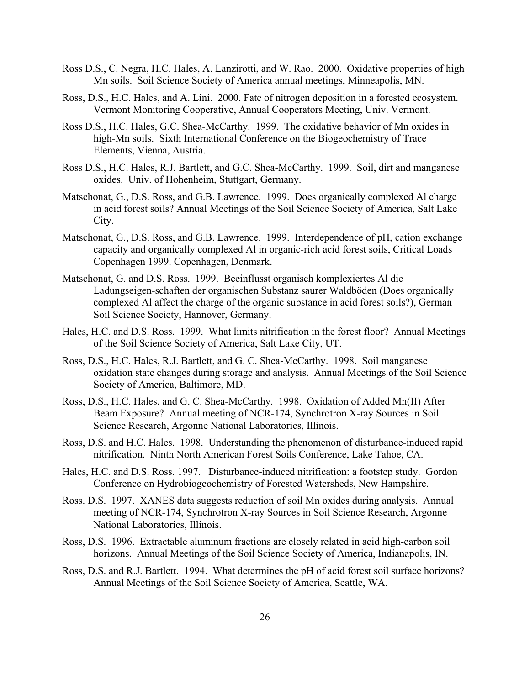- Ross D.S., C. Negra, H.C. Hales, A. Lanzirotti, and W. Rao. 2000. Oxidative properties of high Mn soils. Soil Science Society of America annual meetings, Minneapolis, MN.
- Ross, D.S., H.C. Hales, and A. Lini. 2000. Fate of nitrogen deposition in a forested ecosystem. Vermont Monitoring Cooperative, Annual Cooperators Meeting, Univ. Vermont.
- Ross D.S., H.C. Hales, G.C. Shea-McCarthy. 1999. The oxidative behavior of Mn oxides in high-Mn soils. Sixth International Conference on the Biogeochemistry of Trace Elements, Vienna, Austria.
- Ross D.S., H.C. Hales, R.J. Bartlett, and G.C. Shea-McCarthy. 1999. Soil, dirt and manganese oxides. Univ. of Hohenheim, Stuttgart, Germany.
- Matschonat, G., D.S. Ross, and G.B. Lawrence. 1999. Does organically complexed Al charge in acid forest soils? Annual Meetings of the Soil Science Society of America, Salt Lake City.
- Matschonat, G., D.S. Ross, and G.B. Lawrence. 1999. Interdependence of pH, cation exchange capacity and organically complexed Al in organic-rich acid forest soils, Critical Loads Copenhagen 1999. Copenhagen, Denmark.
- Matschonat, G. and D.S. Ross. 1999. Beeinflusst organisch komplexiertes Al die Ladungseigen-schaften der organischen Substanz saurer Waldböden (Does organically complexed Al affect the charge of the organic substance in acid forest soils?), German Soil Science Society, Hannover, Germany.
- Hales, H.C. and D.S. Ross. 1999. What limits nitrification in the forest floor? Annual Meetings of the Soil Science Society of America, Salt Lake City, UT.
- Ross, D.S., H.C. Hales, R.J. Bartlett, and G. C. Shea-McCarthy. 1998. Soil manganese oxidation state changes during storage and analysis. Annual Meetings of the Soil Science Society of America, Baltimore, MD.
- Ross, D.S., H.C. Hales, and G. C. Shea-McCarthy. 1998. Oxidation of Added Mn(II) After Beam Exposure? Annual meeting of NCR-174, Synchrotron X-ray Sources in Soil Science Research, Argonne National Laboratories, Illinois.
- Ross, D.S. and H.C. Hales. 1998. Understanding the phenomenon of disturbance-induced rapid nitrification. Ninth North American Forest Soils Conference, Lake Tahoe, CA.
- Hales, H.C. and D.S. Ross. 1997. Disturbance-induced nitrification: a footstep study. Gordon Conference on Hydrobiogeochemistry of Forested Watersheds, New Hampshire.
- Ross. D.S. 1997. XANES data suggests reduction of soil Mn oxides during analysis. Annual meeting of NCR-174, Synchrotron X-ray Sources in Soil Science Research, Argonne National Laboratories, Illinois.
- Ross, D.S. 1996. Extractable aluminum fractions are closely related in acid high-carbon soil horizons. Annual Meetings of the Soil Science Society of America, Indianapolis, IN.
- Ross, D.S. and R.J. Bartlett. 1994. What determines the pH of acid forest soil surface horizons? Annual Meetings of the Soil Science Society of America, Seattle, WA.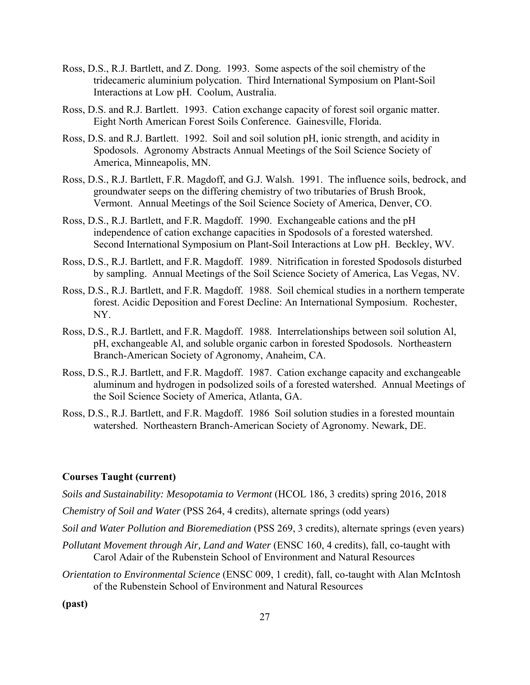- Ross, D.S., R.J. Bartlett, and Z. Dong. 1993. Some aspects of the soil chemistry of the tridecameric aluminium polycation. Third International Symposium on Plant-Soil Interactions at Low pH. Coolum, Australia.
- Ross, D.S. and R.J. Bartlett. 1993. Cation exchange capacity of forest soil organic matter. Eight North American Forest Soils Conference. Gainesville, Florida.
- Ross, D.S. and R.J. Bartlett. 1992. Soil and soil solution pH, ionic strength, and acidity in Spodosols. Agronomy Abstracts Annual Meetings of the Soil Science Society of America, Minneapolis, MN.
- Ross, D.S., R.J. Bartlett, F.R. Magdoff, and G.J. Walsh. 1991. The influence soils, bedrock, and groundwater seeps on the differing chemistry of two tributaries of Brush Brook, Vermont. Annual Meetings of the Soil Science Society of America, Denver, CO.
- Ross, D.S., R.J. Bartlett, and F.R. Magdoff. 1990. Exchangeable cations and the pH independence of cation exchange capacities in Spodosols of a forested watershed. Second International Symposium on Plant-Soil Interactions at Low pH. Beckley, WV.
- Ross, D.S., R.J. Bartlett, and F.R. Magdoff. 1989. Nitrification in forested Spodosols disturbed by sampling. Annual Meetings of the Soil Science Society of America, Las Vegas, NV.
- Ross, D.S., R.J. Bartlett, and F.R. Magdoff. 1988. Soil chemical studies in a northern temperate forest. Acidic Deposition and Forest Decline: An International Symposium. Rochester, NY.
- Ross, D.S., R.J. Bartlett, and F.R. Magdoff. 1988. Interrelationships between soil solution Al, pH, exchangeable Al, and soluble organic carbon in forested Spodosols. Northeastern Branch-American Society of Agronomy, Anaheim, CA.
- Ross, D.S., R.J. Bartlett, and F.R. Magdoff. 1987. Cation exchange capacity and exchangeable aluminum and hydrogen in podsolized soils of a forested watershed. Annual Meetings of the Soil Science Society of America, Atlanta, GA.
- Ross, D.S., R.J. Bartlett, and F.R. Magdoff. 1986 Soil solution studies in a forested mountain watershed. Northeastern Branch-American Society of Agronomy. Newark, DE.

## **Courses Taught (current)**

*Soils and Sustainability: Mesopotamia to Vermont* (HCOL 186, 3 credits) spring 2016, 2018

*Chemistry of Soil and Water* (PSS 264, 4 credits), alternate springs (odd years)

*Soil and Water Pollution and Bioremediation* (PSS 269, 3 credits), alternate springs (even years)

- *Pollutant Movement through Air, Land and Water* (ENSC 160, 4 credits), fall, co-taught with Carol Adair of the Rubenstein School of Environment and Natural Resources
- *Orientation to Environmental Science* (ENSC 009, 1 credit), fall, co-taught with Alan McIntosh of the Rubenstein School of Environment and Natural Resources

**(past)**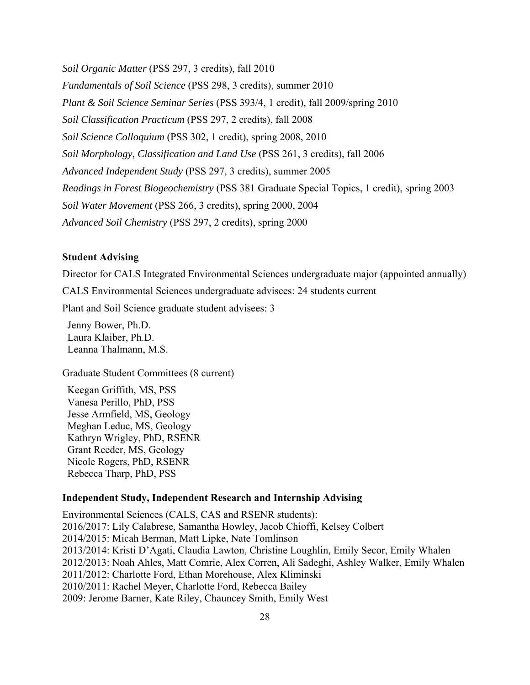*Soil Organic Matter* (PSS 297, 3 credits), fall 2010

*Fundamentals of Soil Science* (PSS 298, 3 credits), summer 2010 *Plant & Soil Science Seminar Series* (PSS 393/4, 1 credit), fall 2009/spring 2010 *Soil Classification Practicum* (PSS 297, 2 credits), fall 2008 *Soil Science Colloquium* (PSS 302, 1 credit), spring 2008, 2010 *Soil Morphology, Classification and Land Use* (PSS 261, 3 credits), fall 2006 *Advanced Independent Study* (PSS 297, 3 credits), summer 2005 *Readings in Forest Biogeochemistry* (PSS 381 Graduate Special Topics, 1 credit), spring 2003 *Soil Water Movement* (PSS 266, 3 credits), spring 2000, 2004 *Advanced Soil Chemistry* (PSS 297, 2 credits), spring 2000

# **Student Advising**

Director for CALS Integrated Environmental Sciences undergraduate major (appointed annually)

CALS Environmental Sciences undergraduate advisees: 24 students current

Plant and Soil Science graduate student advisees: 3

 Jenny Bower, Ph.D. Laura Klaiber, Ph.D. Leanna Thalmann, M.S.

Graduate Student Committees (8 current)

 Keegan Griffith, MS, PSS Vanesa Perillo, PhD, PSS Jesse Armfield, MS, Geology Meghan Leduc, MS, Geology Kathryn Wrigley, PhD, RSENR Grant Reeder, MS, Geology Nicole Rogers, PhD, RSENR Rebecca Tharp, PhD, PSS

#### **Independent Study, Independent Research and Internship Advising**

Environmental Sciences (CALS, CAS and RSENR students): 2016/2017: Lily Calabrese, Samantha Howley, Jacob Chioffi, Kelsey Colbert 2014/2015: Micah Berman, Matt Lipke, Nate Tomlinson 2013/2014: Kristi D'Agati, Claudia Lawton, Christine Loughlin, Emily Secor, Emily Whalen 2012/2013: Noah Ahles, Matt Comrie, Alex Corren, Ali Sadeghi, Ashley Walker, Emily Whalen 2011/2012: Charlotte Ford, Ethan Morehouse, Alex Kliminski 2010/2011: Rachel Meyer, Charlotte Ford, Rebecca Bailey 2009: Jerome Barner, Kate Riley, Chauncey Smith, Emily West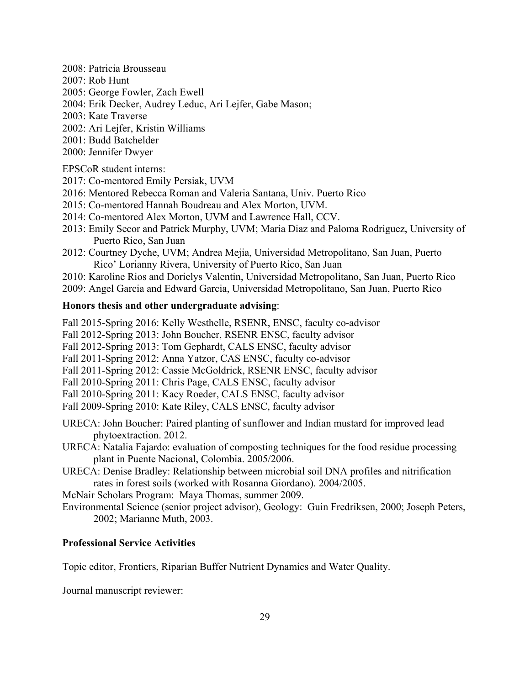- 2008: Patricia Brousseau
- 2007: Rob Hunt
- 2005: George Fowler, Zach Ewell
- 2004: Erik Decker, Audrey Leduc, Ari Lejfer, Gabe Mason;
- 2003: Kate Traverse
- 2002: Ari Lejfer, Kristin Williams
- 2001: Budd Batchelder
- 2000: Jennifer Dwyer

EPSCoR student interns:

- 2017: Co-mentored Emily Persiak, UVM
- 2016: Mentored Rebecca Roman and Valeria Santana, Univ. Puerto Rico
- 2015: Co-mentored Hannah Boudreau and Alex Morton, UVM.
- 2014: Co-mentored Alex Morton, UVM and Lawrence Hall, CCV.
- 2013: Emily Secor and Patrick Murphy, UVM; Maria Diaz and Paloma Rodriguez, University of Puerto Rico, San Juan
- 2012: Courtney Dyche, UVM; Andrea Mejia, Universidad Metropolitano, San Juan, Puerto Rico' Lorianny Rivera, University of Puerto Rico, San Juan
- 2010: Karoline Rios and Dorielys Valentin, Universidad Metropolitano, San Juan, Puerto Rico
- 2009: Angel Garcia and Edward Garcia, Universidad Metropolitano, San Juan, Puerto Rico

# **Honors thesis and other undergraduate advising**:

Fall 2015-Spring 2016: Kelly Westhelle, RSENR, ENSC, faculty co-advisor

Fall 2012-Spring 2013: John Boucher, RSENR ENSC, faculty advisor

- Fall 2012-Spring 2013: Tom Gephardt, CALS ENSC, faculty advisor
- Fall 2011-Spring 2012: Anna Yatzor, CAS ENSC, faculty co-advisor
- Fall 2011-Spring 2012: Cassie McGoldrick, RSENR ENSC, faculty advisor
- Fall 2010-Spring 2011: Chris Page, CALS ENSC, faculty advisor
- Fall 2010-Spring 2011: Kacy Roeder, CALS ENSC, faculty advisor
- Fall 2009-Spring 2010: Kate Riley, CALS ENSC, faculty advisor

URECA: John Boucher: Paired planting of sunflower and Indian mustard for improved lead phytoextraction. 2012.

URECA: Natalia Fajardo: evaluation of composting techniques for the food residue processing plant in Puente Nacional, Colombia. 2005/2006.

URECA: Denise Bradley: Relationship between microbial soil DNA profiles and nitrification rates in forest soils (worked with Rosanna Giordano). 2004/2005.

McNair Scholars Program: Maya Thomas, summer 2009.

Environmental Science (senior project advisor), Geology: Guin Fredriksen, 2000; Joseph Peters, 2002; Marianne Muth, 2003.

# **Professional Service Activities**

Topic editor, Frontiers, Riparian Buffer Nutrient Dynamics and Water Quality.

Journal manuscript reviewer: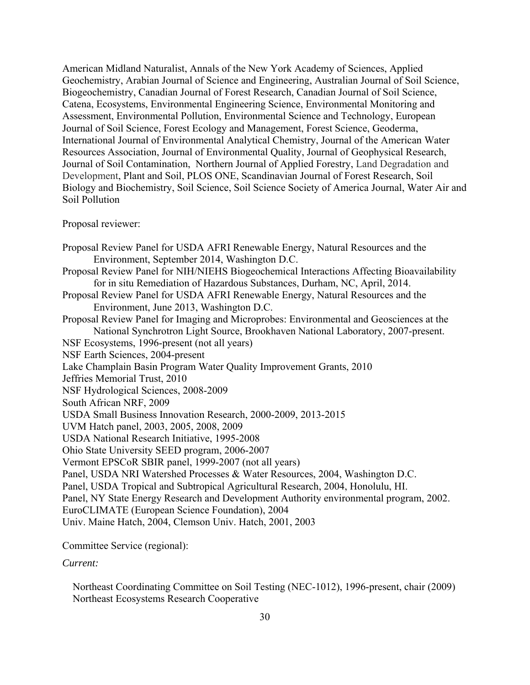American Midland Naturalist, Annals of the New York Academy of Sciences, Applied Geochemistry, Arabian Journal of Science and Engineering, Australian Journal of Soil Science, Biogeochemistry, Canadian Journal of Forest Research, Canadian Journal of Soil Science, Catena, Ecosystems, Environmental Engineering Science, Environmental Monitoring and Assessment, Environmental Pollution, Environmental Science and Technology, European Journal of Soil Science, Forest Ecology and Management, Forest Science, Geoderma, International Journal of Environmental Analytical Chemistry, Journal of the American Water Resources Association, Journal of Environmental Quality, Journal of Geophysical Research, Journal of Soil Contamination, Northern Journal of Applied Forestry, Land Degradation and Development, Plant and Soil, PLOS ONE, Scandinavian Journal of Forest Research, Soil Biology and Biochemistry, Soil Science, Soil Science Society of America Journal, Water Air and Soil Pollution

## Proposal reviewer:

Proposal Review Panel for USDA AFRI Renewable Energy, Natural Resources and the Environment, September 2014, Washington D.C. Proposal Review Panel for NIH/NIEHS Biogeochemical Interactions Affecting Bioavailability for in situ Remediation of Hazardous Substances, Durham, NC, April, 2014. Proposal Review Panel for USDA AFRI Renewable Energy, Natural Resources and the Environment, June 2013, Washington D.C. Proposal Review Panel for Imaging and Microprobes: Environmental and Geosciences at the National Synchrotron Light Source, Brookhaven National Laboratory, 2007-present. NSF Ecosystems, 1996-present (not all years) NSF Earth Sciences, 2004-present Lake Champlain Basin Program Water Quality Improvement Grants, 2010 Jeffries Memorial Trust, 2010 NSF Hydrological Sciences, 2008-2009 South African NRF, 2009 USDA Small Business Innovation Research, 2000-2009, 2013-2015 UVM Hatch panel, 2003, 2005, 2008, 2009 USDA National Research Initiative, 1995-2008 Ohio State University SEED program, 2006-2007 Vermont EPSCoR SBIR panel, 1999-2007 (not all years) Panel, USDA NRI Watershed Processes & Water Resources, 2004, Washington D.C. Panel, USDA Tropical and Subtropical Agricultural Research, 2004, Honolulu, HI. Panel, NY State Energy Research and Development Authority environmental program, 2002. EuroCLIMATE (European Science Foundation), 2004 Univ. Maine Hatch, 2004, Clemson Univ. Hatch, 2001, 2003

Committee Service (regional):

*Current:*

 Northeast Coordinating Committee on Soil Testing (NEC-1012), 1996-present, chair (2009) Northeast Ecosystems Research Cooperative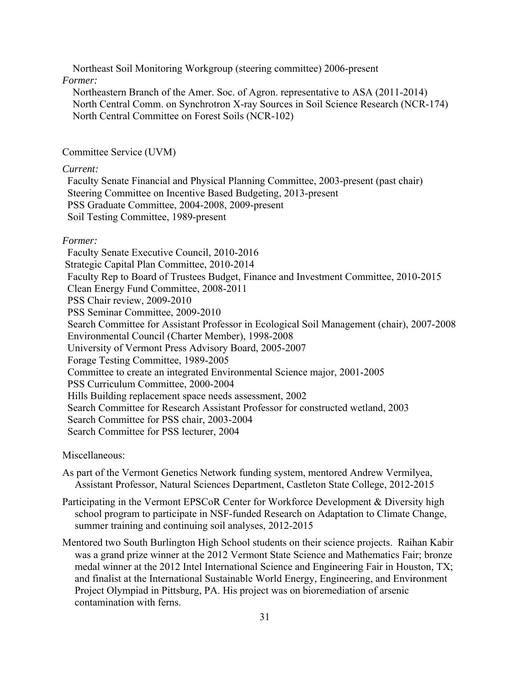Northeast Soil Monitoring Workgroup (steering committee) 2006-present *Former:* 

 Northeastern Branch of the Amer. Soc. of Agron. representative to ASA (2011-2014) North Central Comm. on Synchrotron X-ray Sources in Soil Science Research (NCR-174) North Central Committee on Forest Soils (NCR-102)

## Committee Service (UVM)

#### *Current:*

 Faculty Senate Financial and Physical Planning Committee, 2003-present (past chair) Steering Committee on Incentive Based Budgeting, 2013-present PSS Graduate Committee, 2004-2008, 2009-present Soil Testing Committee, 1989-present

#### *Former:*

 Faculty Senate Executive Council, 2010-2016 Strategic Capital Plan Committee, 2010-2014 Faculty Rep to Board of Trustees Budget, Finance and Investment Committee, 2010-2015 Clean Energy Fund Committee, 2008-2011 PSS Chair review, 2009-2010 PSS Seminar Committee, 2009-2010 Search Committee for Assistant Professor in Ecological Soil Management (chair), 2007-2008 Environmental Council (Charter Member), 1998-2008 University of Vermont Press Advisory Board, 2005-2007 Forage Testing Committee, 1989-2005 Committee to create an integrated Environmental Science major, 2001-2005 PSS Curriculum Committee, 2000-2004 Hills Building replacement space needs assessment, 2002 Search Committee for Research Assistant Professor for constructed wetland, 2003 Search Committee for PSS chair, 2003-2004 Search Committee for PSS lecturer, 2004

#### Miscellaneous:

- As part of the Vermont Genetics Network funding system, mentored Andrew Vermilyea, Assistant Professor, Natural Sciences Department, Castleton State College, 2012-2015
- Participating in the Vermont EPSCoR Center for Workforce Development & Diversity high school program to participate in NSF-funded Research on Adaptation to Climate Change, summer training and continuing soil analyses, 2012-2015
- Mentored two South Burlington High School students on their science projects. Raihan Kabir was a grand prize winner at the 2012 Vermont State Science and Mathematics Fair; bronze medal winner at the 2012 Intel International Science and Engineering Fair in Houston, TX; and finalist at the International Sustainable World Energy, Engineering, and Environment Project Olympiad in Pittsburg, PA. His project was on bioremediation of arsenic contamination with ferns.